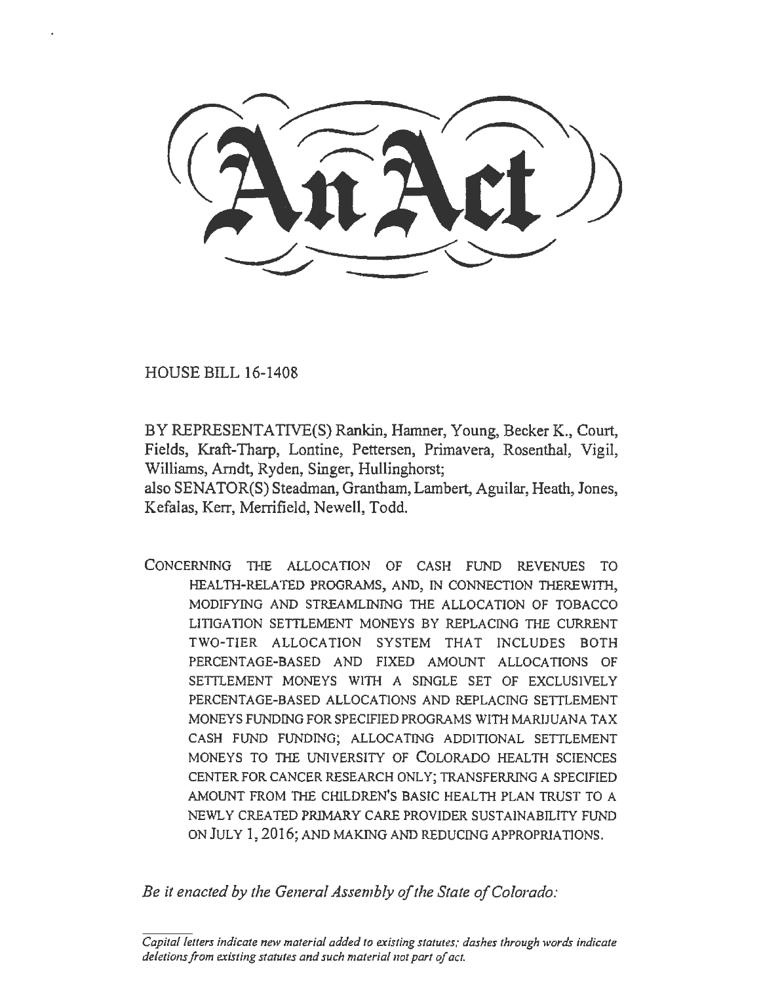HOUSE BILL 16-1408

BY REPRESENTATIVE(S) Rankin, Hamner, Young, Becker K., Court, Fields, Kraft-Tharp, Lontine, Pettersen, Primavera, Rosenthal, Vigil, Williams, Arndt, Ryden, Singer, Hullinghorst;

also SENATOR(S) Steadman, Grantham, Lambert, Aguilar, Heath, Jones, Kefalas, Kerr, Merrifield, Newell, Todd.

CONCERNING THE ALLOCATION OF CASH FUND REVENUES TO HEALTH-RELATED PROGRAMS, AND, IN CONNECTION THEREWITH, MODIFYING AND STREAMLINING THE ALLOCATION OF TOBACCO LITIGATION SETTLEMENT MONEYS BY REPLACING THE CURRENT TWO-TIER ALLOCATION SYSTEM THAT INCLUDES BOTH PERCENTAGE-BASED AND FIXED AMOUNT ALLOCATIONS OF SETTLEMENT MONEYS WITH A SINGLE SET OF EXCLUSIVELY PERCENTAGE-BASED ALLOCATIONS AND REPLACING SETTLEMENT MONEYS FUNDING FOR SPECIFIED PROGRAMS WITH MARIJUANA TAX CASH FUND FUNDING; ALLOCATING ADDITIONAL SETTLEMENT MONEYS TO THE UNIVERSITY OF COLORADO HEALTH SCIENCES CENTER FOR CANCER RESEARCH ONLY; TRANSFERRING A SPECIFIED AMOUNT FROM THE CHILDREN'S BASIC HEALTH PLAN TRUST TO A NEWLY CREATED PRJMARY CARE PROVIDER SUSTAINABILITY FUND ON JULY 1, 2016; AND MAKING AND REDUCING APPROPRIATIONS.

*Be it enacted by the General Assembly of the State of Colorado:* 

*Capital letters indicate new material added to existing statutes; dashes through words indicate deletions from existing statutes and such material not part of act.*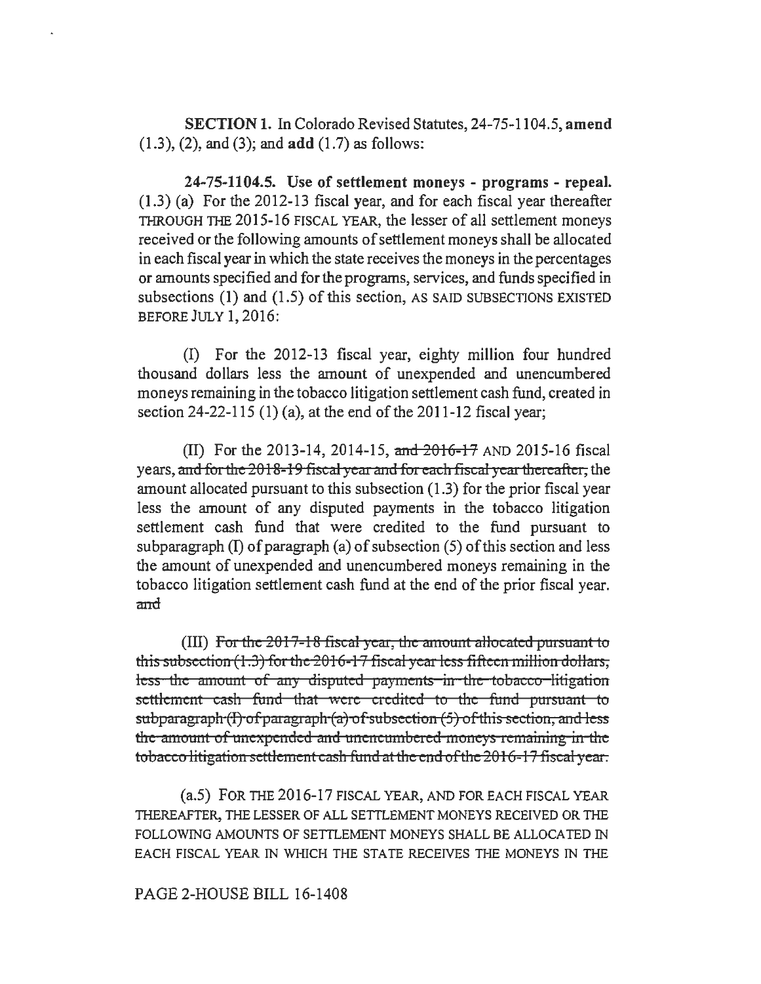SECTION 1. In Colorado Revised Statutes, 24-75-1104.5, amend  $(1.3)$ ,  $(2)$ , and  $(3)$ ; and add  $(1.7)$  as follows:

24-75-1104.5. Use of settlement moneys - programs - repeal. (1.3) (a) For the 2012-13 fiscal year, and for each fiscal year thereafter THROUGH THE 2015-16 FISCAL YEAR, the lesser of all settlement moneys received or the following amounts of settlement moneys shall be allocated in each fiscal year in which the state receives the moneys in the percentages or amounts specified and for the programs, services, and funds specified in subsections (1) and (1.5) of this section, AS SAID SUBSECTIONS EXISTED BEFORE JULY 1, 2016:

(I) For the 2012-13 fiscal year, eighty million four hundred thousand dollars less the amount of unexpended and unencumbered moneys remaining in the tobacco litigation settlement cash fund, created in section 24-22-115 (1) (a), at the end of the 2011-12 fiscal year;

(II) For the 2013-14, 2014-15, and 2016-17 AND 2015-16 fiscal years, mid for the 2018-19 fiscal *y* em mid for each fiscal *y* em ther eaftcr, the amount allocated pursuant to this subsection (1.3) for the prior fiscal year less the amount of any disputed payments in the tobacco litigation settlement cash fund that were credited to the fund pursuant to subparagraph  $(I)$  of paragraph  $(a)$  of subsection  $(5)$  of this section and less the amount of unexpended and unencumbered moneys remaining in the tobacco litigation settlement cash fund at the end of the prior fiscal year. and

(III) For the 2017-18 fiscal year, the amount allocated pursuant to this subsection (1.3) for the 2016-17 fiscal year less fifteen million dollars, less the amount of any disputed payments in the tobacco-litigation settlement cash fund that were credited to the fund pursuant to  $subparam<sub>f</sub>(T) of paragraph (a) of subsection (5) of this section, and less$ the amount of unexpended and unencumbered moneys remaining in the tobacco litigation settlement cash fund at the end of the 2016-17 fiscal year.

(a.5) FOR THE 2016-17 FISCAL YEAR, AND FOR EACH FISCAL YEAR THEREAFTER, THE LESSER OF ALL SETTLEMENT MONEYS RECEIVED OR THE FOLLOWING AMOUNTS OF SETTLEMENT MONEYS SHALL BE ALLOCATED IN EACH FISCAL YEAR IN WHICH THE STATE RECEIVES THE MONEYS IN THE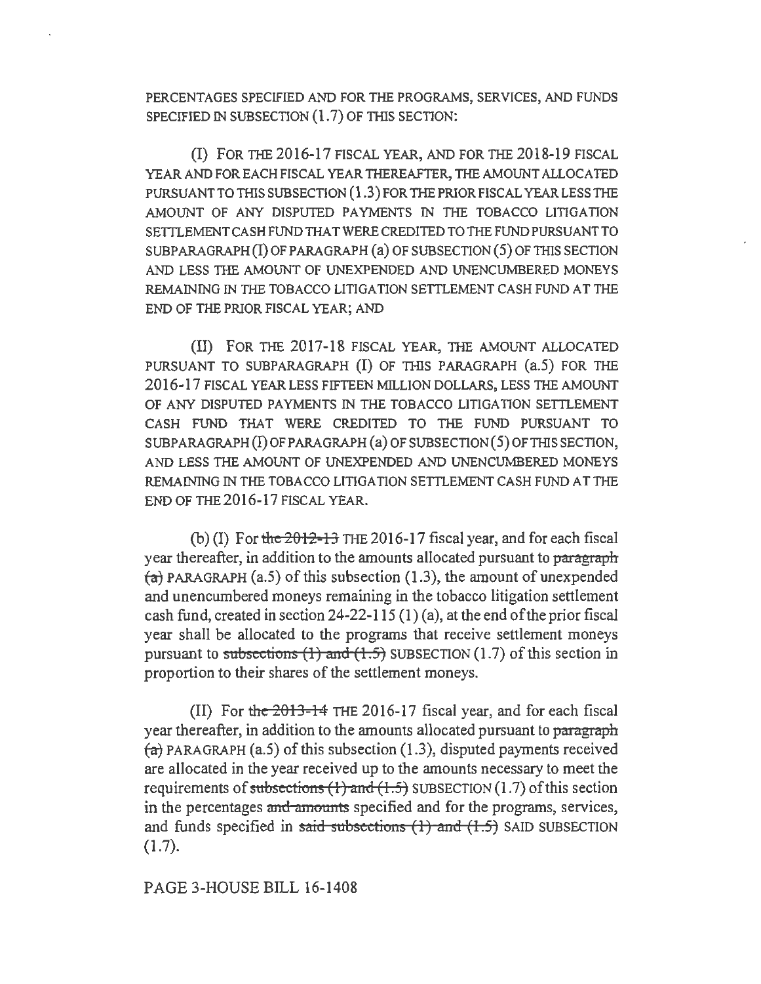PERCENTAGES SPECIFIED AND FOR THE PROGRAMS, SERVICES, AND FUNDS SPECIFIED IN SUBSECTION  $(1.7)$  OF THIS SECTION:

(I) FOR THE 2016-17 FISCAL YEAR, AND FOR THE 2018-19 FISCAL YEAR AND FOR EACH FISCAL YEAR THEREAFTER, THE AMOUNT ALLOCATED PURSUANT TO THIS SUBSECTION (1.3) FOR THE PRIOR FISCAL YEAR LESS THE AMOUNT OF ANY DISPUTED PAYMENTS IN THE TOBACCO LITIGATION SETTLEMENT CASH FUND THA TWERE CREDITED TO THE FUND PURSUANT TO  $SUBPARAGRAPH (I) OF PARAGRAPH (a) OF SUBSECTION (5) OF THIS SECTION$ AND LESS THE AMOUNT OF UNEXPENDED AND UNENCUMBERED MONEYS REMAINING IN THE TOBACCO LITIGATION SETTLEMENT CASH FUND AT THE END OF THE PRIOR FISCAL YEAR; AND

(II) FOR THE 2017-18 FISCAL YEAR, THE AMOUNT ALLOCATED PURSUANT TO SUBPARAGRAPH (I) OF THIS PARAGRAPH (a.5) FOR THE 2016-17 FISCAL YEAR LESS FIFTEEN MILLION DOLLARS, LESS THE AMOUNT OF ANY DISPUTED PAYMENTS IN THE TOBACCO LITIGATION SETTLEMENT CASH FUND THAT WERE CREDITED TO THE FUND PURSUANT TO  $SUBPARAGRAPH(I) OF PARAGRAPH(a) OF SUBSECTION (5) OF THIS SECTION,$ AND LESS THE AMOUNT OF UNEXPENDED AND UNENCUMBERED MONEYS REMAINING IN THE TOBACCO LITIGATION SEITLEMENT CASH FUND AT THE END OF THE 2016-17 FISCAL YEAR.

(b)(I) For the  $2012-13$  THE 2016-17 fiscal year, and for each fiscal year thereafter, in addition to the amounts allocated pursuant to paragraph  $(a)$  PARAGRAPH (a.5) of this subsection (1.3), the amount of unexpended and unencumbered moneys remaining in the tobacco litigation settlement cash fund, created in section 24-22-115 (1) (a), at the end of the prior fiscal year shall be allocated to the programs that receive settlement moneys pursuant to subsections  $(1)$  and  $(1.5)$  SUBSECTION  $(1.7)$  of this section in proportion to their shares of the settlement moneys.

(II) For the  $2013-14$  THE 2016-17 fiscal year, and for each fiscal year thereafter, in addition to the amounts allocated pursuant to paragraph  $\overline{a}$ ) PARAGRAPH (a.5) of this subsection (1.3), disputed payments received are allocated in the year received up to the amounts necessary to meet the requirements of subsections  $(1)$  and  $(1.5)$  SUBSECTION  $(1.7)$  of this section in the percentages and amounts specified and for the programs, services, and funds specified in said subsections  $(1)$  and  $(1.5)$  SAID SUBSECTION (1.7).

## PAGE 3-HOUSE BILL 16-1408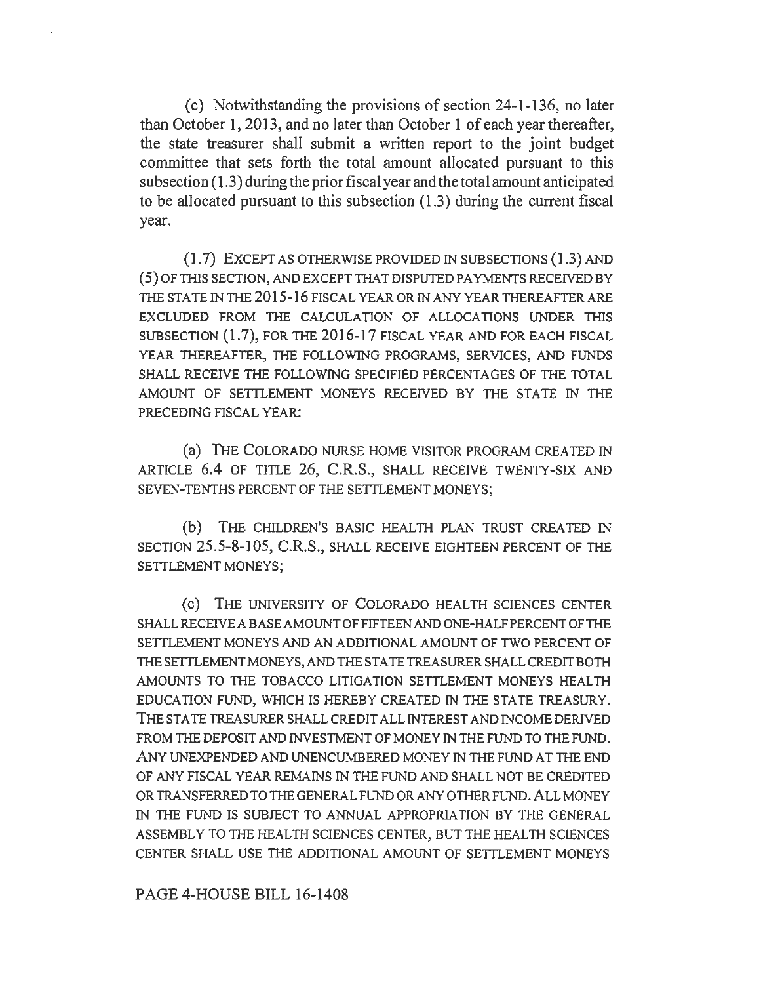(c) Notwithstanding the provisions of section 24-1-136, no later than October 1, 2013, and no later than October 1 of each year thereafter, the state treasurer shall submit a written report to the joint budget committee that sets forth the total amount allocated pursuant to this subsection (1.3) during the prior fiscal year and the total amount anticipated to be allocated pursuant to this subsection (1.3) during the current fiscal year.

 $(1.7)$  EXCEPT AS OTHERWISE PROVIDED IN SUBSECTIONS  $(1.3)$  AND ( 5) OF THIS SECTION, AND EXCEPT THAT DISPUTED PAYMENTS RECEIVED BY THE STATE IN THE 2015-16 FISCAL YEAR OR IN ANY YEAR THEREAFTER ARE EXCLUDED FROM THE CALCULATION OF ALLOCATIONS UNDER THIS SUBSECTION (1.7), FOR THE 2016-17 FISCAL YEAR AND FOR EACH FISCAL YEAR THEREAFTER, THE FOLLOWING PROGRAMS, SERVICES, AND FUNDS SHALL RECEIVE THE FOLLOWING SPECIFIED PERCENTAGES OF THE TOTAL AMOUNT OF SETTLEMENT MONEYS RECEIVED BY THE STATE IN THE PRECEDING FISCAL YEAR:

(a) THE COLORADO NURSE HOME VISITOR PROGRAM CREATED IN ARTICLE 6.4 OF TITLE 26, C.R.S., SHALL RECEIVE TWENTY-SIX AND SEVEN-TENTHS PERCENT OF THE SETTLEMENT MONEYS;

(b) THE CHILDREN'S BASIC HEALTH PLAN TRUST CREATED IN SECTION 25.5-8-105, C.R.S., SHALL RECEIVE EIGHTEEN PERCENT OF THE SETTLEMENT MONEYS;

(c) THE UNIVERSITY OF COLORADO HEALTH SCIENCES CENTER SHALL RECEIVE ABASE AMOUNT OF FIFTEEN AND ONE-HALF PERCENT OF THE SETTLEMENT MONEYS AND AN ADDITIONAL AMOUNT OF TWO PERCENT OF THE SETTLEMENT MONEYS, AND THE STATE TREASURER SHALL CREDIT BOTH AMOUNTS TO THE TOBACCO LITIGATION SETTLEMENT MONEYS HEALTH EDUCATION FUND, WHICH IS HEREBY CREATED IN THE STATE TREASURY. THE STA TE TREASURER SHALL CREDIT ALL INTEREST AND INCOME DERIVED FROM THE DEPOSIT AND INVESTMENT OF MONEY IN THE FUND TO THE FUND. ANY UNEXPENDED AND UNENCUMBERED MONEY IN THE FUND AT THE END OF ANY FISCAL YEAR REMAINS IN THE FUND AND SHALL NOT BE CREDITED OR TRANSFERRED TO THE GENERAL FUND OR ANY OTHER FUND. ALL MONEY IN THE FUND IS SUBJECT TO ANNUAL APPROPRIATION BY THE GENERAL ASSEMBLY TO THE HEALTH SCIENCES CENTER, BUT THE HEALTH SCIENCES CENTER SHALL USE THE ADDITIONAL AMOUNT OF SETTLEMENT MONEYS

PAGE 4-HOUSE BILL 16-1408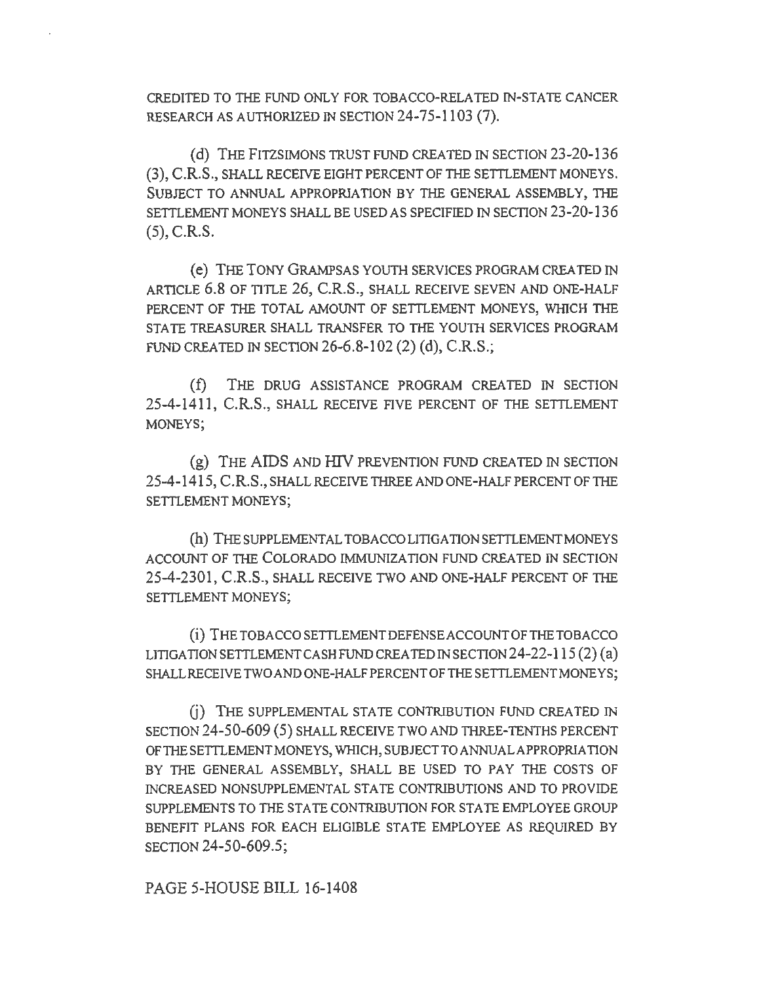CREDITED TO THE FUND ONLY FOR TOBACCO-RELATED IN-STATE CANCER RESEARCH AS AUTHORIZED IN SECTION 24-75-1103 (7).

(d) THE FITZSIMONS TRUST FUND CREATED IN SECTION 23-20-136 (3), C.R.S., SHALL RECEIVE EIGHT PERCENT OF THE SETTLEMENT MONEYS. SUBJECT TO ANNUAL APPROPRIATION BY THE GENERAL ASSEMBLY, THE SETTLEMENT MONEYS SHALL BE USED AS SPECIFIED IN SECTION 23-20-13 6 (5), C.R.S.

( e) THE TONY GRAMPSAS YOUTH SERVICES PROGRAM CREA TED IN ARTICLE 6.8 OF TITLE 26, C.R.S., SHALL RECEIVE SEVEN AND ONE-HALF PERCENT OF THE TOTAL AMOUNT OF SETTLEMENT MONEYS, WHICH THE STATE TREASURER SHALL TRANSFER TO THE YOUTH SERVICES PROGRAM FUND CREATED IN SECTION 26-6.8-102 (2) (d), C.R.S.;

(f) THE DRUG ASSISTANCE PROGRAM CREATED IN SECTION 25-4-1411, C.R.S., SHALL RECEIVE FIVE PERCENT OF THE SETTLEMENT MONEYS;

(g) THE AIDS AND HIV PREVENTION FUND CREATED IN SECTION 25-4-1415, C.R.S., SHALL RECEIVE THREE AND ONE-HALF PERCENT OF THE SETTLEMENT MONEYS;

(h) THE SUPPLEMENTAL TOBACCO LITIGATION SETTLEMENT MONEYS ACCOUNT OF THE COLORADO IMMUNIZATION FUND CREATED IN SECTION 25-4-2301, C.R.S., SHALL RECEIVE TWO AND ONE-HALF PERCENT OF THE SETTLEMENT MONEYS;

(i) THETOBACCOSEITLEMENTDEFENSEACCOUNTOFTHETOBACCO LITIGATION SETTLEMENT CASH FUND CREA TED IN SECTION 24-22-115 (2) (a) SHALL RECEIVE TWO AND ONE-HALF PERCENT OF THE SETTLEMENT MONEYS;

G) THE SUPPLEMENTAL STATE CONTRIBUTION FUND CREATED IN SECTION 24-50-609 (5) SHALL RECEIVE TWO AND THREE-TENTHS PERCENT OF THE SETTLEMENT MONEYS, WHICH, SUBJECT TO ANNUALAPPROPRIA TION BY THE GENERAL ASSEMBLY, SHALL BE USED TO PAY THE COSTS OF INCREASED NONSUPPLEMENTAL STATE CONTRIBUTIONS AND TO PROVIDE SUPPLEMENTS TO THE STATE CONTRIBUTION FOR STATE EMPLOYEE GROUP BENEFIT PLANS FOR EACH ELIGIBLE STATE EMPLOYEE AS REQUIRED BY SECTION 24-50-609.5;

PAGE 5-HOUSE BILL 16-1408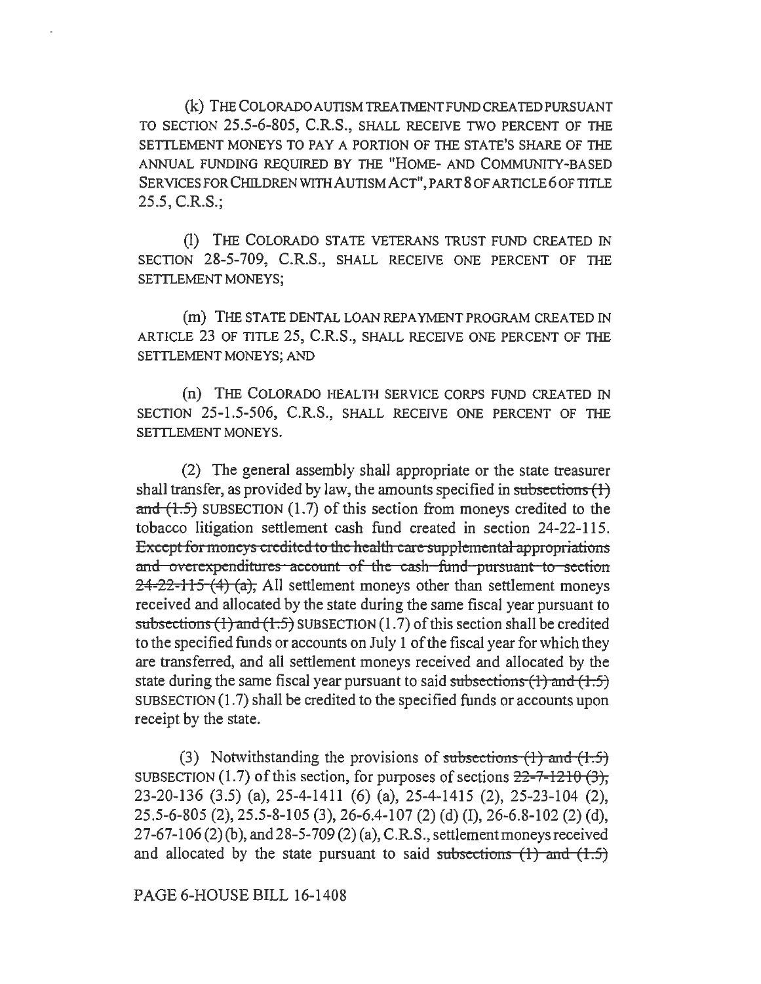(k) THE COLORADO AUTISM TREATMENT FUND CREA TED PURSUANT TO SECTION 25.5-6-805, C.R.S., SHALL RECEIVE TWO PERCENT OF THE SETTLEMENT MONEYS TO PAY A PORTION OF THE STATE'S SHARE OF THE ANNUAL FUNDING REQUIRED BY THE "HOME- AND COMMUNITY-BASED SERVICES FOR CHILDREN WITH AUTISM ACT", PART 8 OF ARTICLE 6 OF TITLE 25.5, C.R.S.;

(I) THE COLORADO STATE VETERANS TRUST FUND CREATED IN SECTION 28-5-709, C.R.S., SHALL RECEIVE ONE PERCENT OF THE SETTLEMENT MONEYS;

(m) THE STATE DENTAL LOAN REPAYMENT PROGRAM CREATED IN ARTICLE 23 OF TITLE 25, C.R.S., SHALL RECEIVE ONE PERCENT OF THE SETTLEMENT MONEYS; AND

(n) THE COLORADO HEALTH SERVICE CORPS FUND CREATED IN SECTION 25-1.5-506, C.R.S., SHALL RECEIVE ONE PERCENT OF THE SETTLEMENT MONEYS.

(2) The general assembly shall appropriate or the state treasurer shall transfer, as provided by law, the amounts specified in subsections  $(1)$ and  $(1.5)$  SUBSECTION (1.7) of this section from moneys credited to the tobacco litigation settlement cash fund created in section 24-22-115. Except for moneys credited to the health care supplemental appropriations and overexpenditures account of the cash fund pursuant to section  $24-22-115(4)$  (a), All settlement moneys other than settlement moneys received and allocated by the state during the same fiscal year pursuant to subsections  $(1)$  and  $(1.5)$  SUBSECTION $(1.7)$  of this section shall be credited to the specified funds or accounts on July I of the fiscal year for which they are transferred, and all settlement moneys received and allocated by the state during the same fiscal year pursuant to said subsections  $(1)$  and  $(1.5)$ SUBSECTION  $(1.7)$  shall be credited to the specified funds or accounts upon receipt by the state.

(3) Notwithstanding the provisions of subsections  $(1)$  and  $(1.5)$ SUBSECTION (1.7) of this section, for purposes of sections  $22-7-1210$  (3), 23-20-136 (3.5) (a), 25-4-1411 (6) (a), 25-4-1415 (2), 25-23-104 (2), 25.5-6-805 (2), 25.5-8-105 (3), 26-6.4-107 (2) (d) (I), 26-6.8-102 (2) (d), 2 7-67-106 (2) (b ), and 28-5-709 (2) (a), C.R.S., settlement moneys received and allocated by the state pursuant to said subsections  $(1)$  and  $(1.5)$ 

PAGE 6-HOUSE BILL 16-1408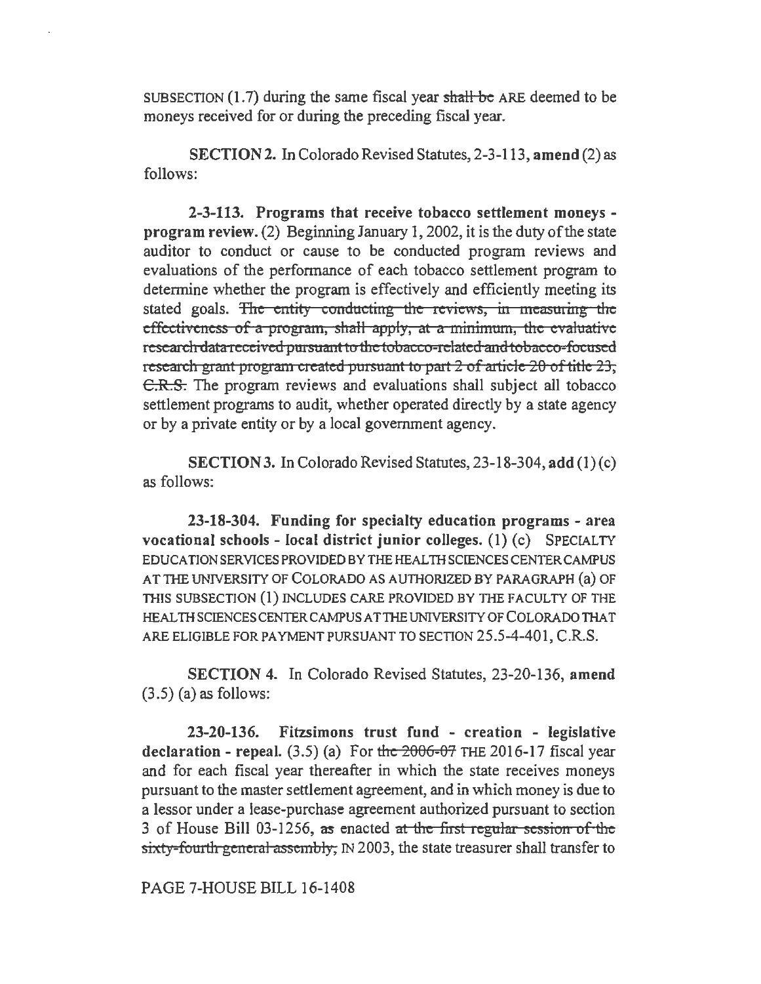SUBSECTION  $(1.7)$  during the same fiscal year shall be ARE deemed to be moneys received for or during the preceding fiscal year.

SECTION 2. In Colorado Revised Statutes, 2-3-113, amend (2) as follows:

2-3-113. Programs that receive tobacco settlement moneys program review. (2) Beginning January I, 2002, it is the duty of the state auditor to conduct or cause to be conducted program reviews and evaluations of the performance of each tobacco settlement program to determine whether the program is effectively and efficiently meeting its stated goals. The entity conducting the reviews, in measuring the effectiveness of a program, shall apply, at a minimum, the evaluative research data received pursuant to the tobacco-related and tobacco-focused research grant program created pursuant to part 2 of article 20 of title 23, C.R.S. The program reviews and evaluations shall subject all tobacco settlement programs to audit, whether operated directly by a state agency or by a private entity or by a local government agency.

SECTION 3. In Colorado Revised Statutes, 23-18-304, add (1) (c) as follows:

23-18-304. Funding for specialty education programs - area vocational schools - local district junior colleges.  $(1)$   $(c)$  SPECIALTY EDUCATION SERVICES PROVIDED BY THE HEALTH SCIENCES CENTER CAMPUS AT THE UNIVERSITY OF COLORADO AS AUTHORIZED BY PARAGRAPH (a) OF THIS SUBSECTION (1) INCLUDES CARE PROVIDED BY THE FACULTY OF THE HEAL TH SCIENCES CENTER CAMPUS AT THE UNIVERSITY OF COLORADO THAT ARE ELIGIBLE FOR PAYMENT PURSUANT TO SECTION 25.5-4-401, C.R.S.

SECTION 4. In Colorado Revised Statutes, 23-20-136, amend (3.5) (a) as follows:

23-20-136. Fitzsimons trust fund - creation - legislative declaration - repeal.  $(3.5)$  (a) For the  $2006-07$  THE 2016-17 fiscal year and for each fiscal year thereafter in which the state receives moneys pursuant to the master settlement agreement, and in which money is due to a lessor under a lease-purchase agreement authorized pursuant to section 3 of House Bill 03-1256, as enacted at the first regular session of the sixty-fourth general assembly, IN 2003, the state treasurer shall transfer to

PAGE 7-HOUSE BILL 16-1408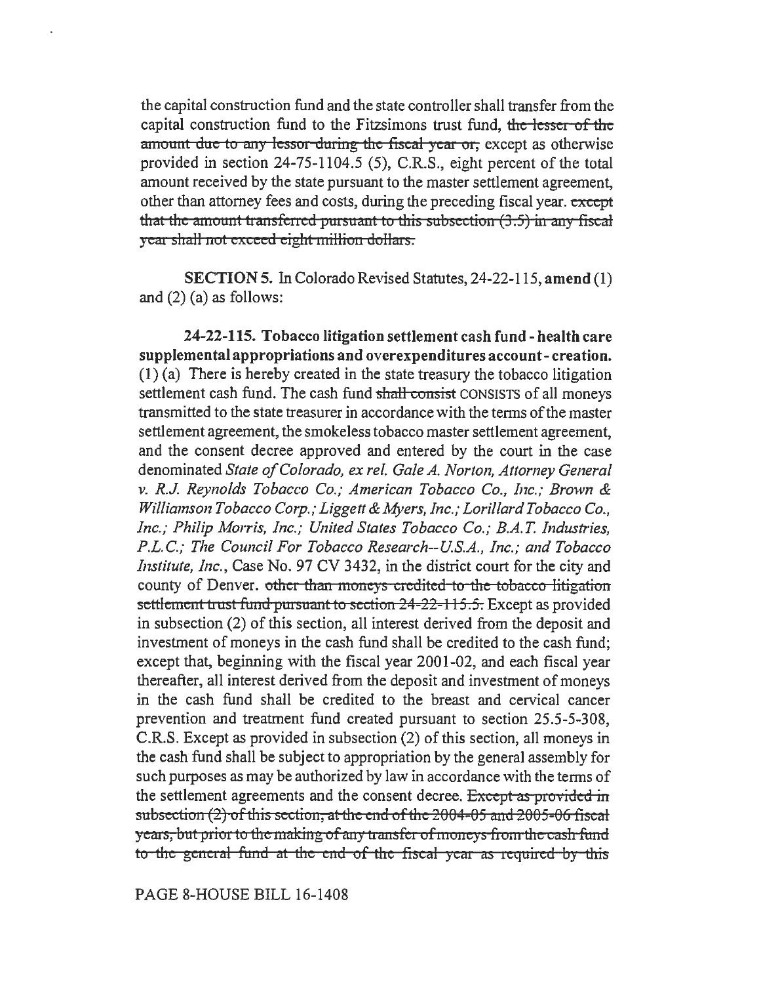the capital construction fund and the state controller shall transfer from the capital construction fund to the Fitzsimons trust fund, the lesser of the amount due to any lessor during the fiscal year or, except as otherwise provided in section 24-75-1104.5 (5), C.R.S., eight percent of the total amount received by the state pursuant to the master settlement agreement, other than attorney fees and costs, during the preceding fiscal year. *except*  that the amount transferred pursuant to this subsection  $(3.5)$  in any fiscal year shall not exceed eight million dollars.

SECTION 5. In Colorado Revised Statutes, 24-22-115, amend (I) and (2) (a) as follows:

24-22-115. Tobacco litigation settlement cash fund - health care supplemental appropriations and overexpenditures account- creation. (1) (a) There is hereby created in the state treasury the tobacco litigation settlement cash fund. The cash fund shall consist CONSISTS of all moneys transmitted to the state treasurer in accordance with the terms of the master settlement agreement, the smokeless tobacco master settlement agreement, and the consent decree approved and entered by the court in the case denominated *State of Colorado, ex rel. Gale A. Norton, Attorney General v. R.J. Reynolds Tobacco Co.; American Tobacco Co., Inc.; Brown* & *Williamson Tobacco Corp.; Liggett* & *Myers, Inc.; Lorillard Tobacco Co., Inc.; Philip Morris, Inc.; United States Tobacco Co.; B.A.T. Industries, P.L.C.; The Council For Tobacco Research--US.A., Inc.; and Tobacco Institute, Inc.,* Case No. 97 CV 3432, in the district court for the city and county of Denver. other than moneys credited to the tobacco litigation settlement trust fund pursuant to section 24-22-115.5. Except as provided in subsection (2) of this section, all interest derived from the deposit and investment of moneys in the cash fund shall be credited to the cash fund; except that, beginning with the fiscal year 2001-02, and each fiscal year thereafter, all interest derived from the deposit and investment of moneys in the cash fund shall be credited to the breast and cervical cancer prevention and treatment fund created pursuant to section 25.5-5-308, C.R.S. Except as provided in subsection (2) of this section, all moneys in the cash fund shall be subject to appropriation by the general assembly for such purposes as may be authorized by law in accordance with the terms of the settlement agreements and the consent decree. Except as provided in subsection (2) of this section, at the end of the 2004-05 and 2005-06 fiscal years, but prior to the making of any transfer of moneys from the cash fund to the general fund at the end of the fiscal year as required by this

PAGE 8-HOUSE BILL 16-1408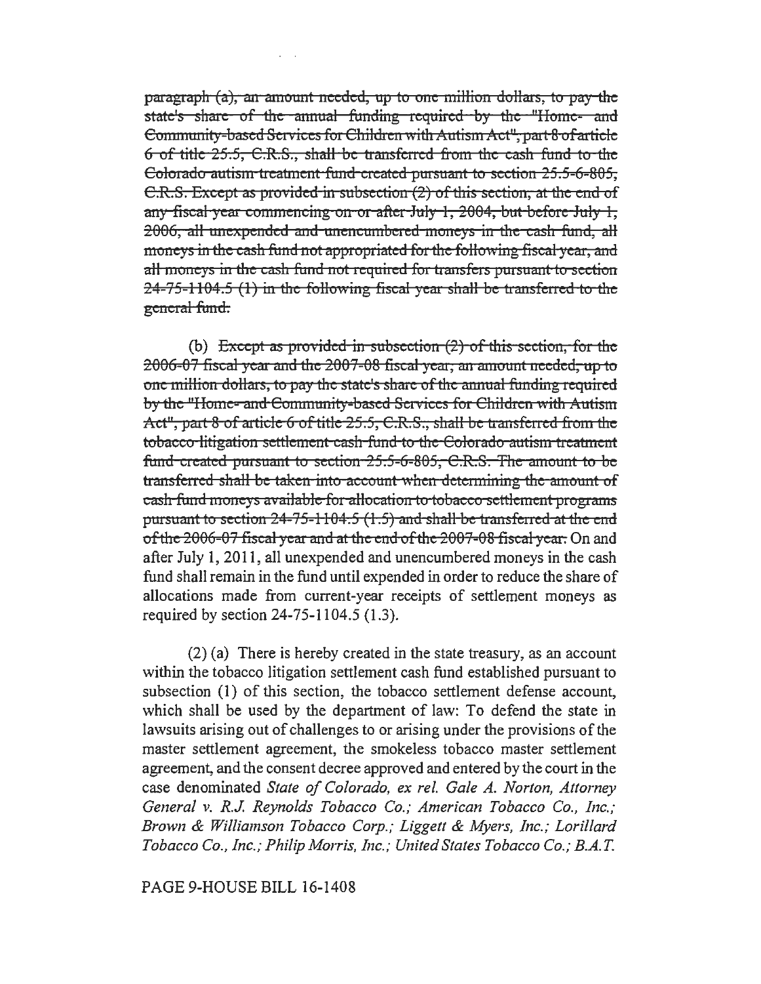paragraph (a), an amount needed, np to one million dollars, to pay the state's share of the annual funding required by the "Home- and Community-based Services for Children with Autism Act", part 8 of article  $6$  of title  $25.5$ , C.R.S., shall be transferred from the cash fund to the Colorado autism treatment fund created pursuant to section 25.5-6-805, C.R.S. Except as provided in subsection (2) of this section, at the end of any fiscal year commencing on or after July  $1, 2004$ , but before July 1, 2006, all unexpended and unencumbered moneys in the cash fund, all moneys in the cash fund not appropriated for the following fiscal year, and all moneys in the cash fund not required for transfers pursuant to section  $24-75-1104.5$  (1) in the following fiscal year shall be transferred to the general fund.

(b) Except as provided in subsection  $(2)$  of this section, for the 2006-07 fiscal year and the 2007-08 fiscal year, an amount needed, up to one million dollars, to pay the state's share of the annual funding required by the "Home- and Community-based Services for Children with Autism Act", part 8 of article 6 of title  $25.5$ , C.R.S., shall be transferred from the tobacco litigation settlement cash fund to the Colorado autism treatment fund created pursuant to section 25.5-6-805, C.R.S. The amount to be transferred shall be taken into account when determining the amount of cash fund moneys available for allocation to tobacco settlement programs pursuant to section  $24-75-1104.5$   $(1.5)$  and shall be transferred at the end of the 2006-07 fiscal year and at the end of the 2007-08 fiscal year. On and after July 1, 2011, all unexpended and unencumbered moneys in the cash fund shall remain in the fund until expended in order to reduce the share of allocations made from current-year receipts of settlement moneys as required by section 24-75-1104.5 (1.3).

(2) (a) There is hereby created in the state treasury, as an account within the tobacco litigation settlement cash fund established pursuant to subsection (1) of this section, the tobacco settlement defense account, which shall be used by the department of law: To defend the state in lawsuits arising out of challenges to or arising under the provisions of the master settlement agreement, the smokeless tobacco master settlement agreement, and the consent decree approved and entered by the court in the case denominated *State of Colorado, ex rel. Gale A. Norton, Attorney General v. R.J. Reynolds Tobacco Co.; American Tobacco Co., Inc.; Brown* & *Williamson Tobacco Corp.; Liggett* & *Myers, Inc.; Lorillard Tobacco Co., Inc.; Philip Morris, Inc.; United States Tobacco Co.; B.A.* T.

## PAGE 9-HOUSE BILL 16-1408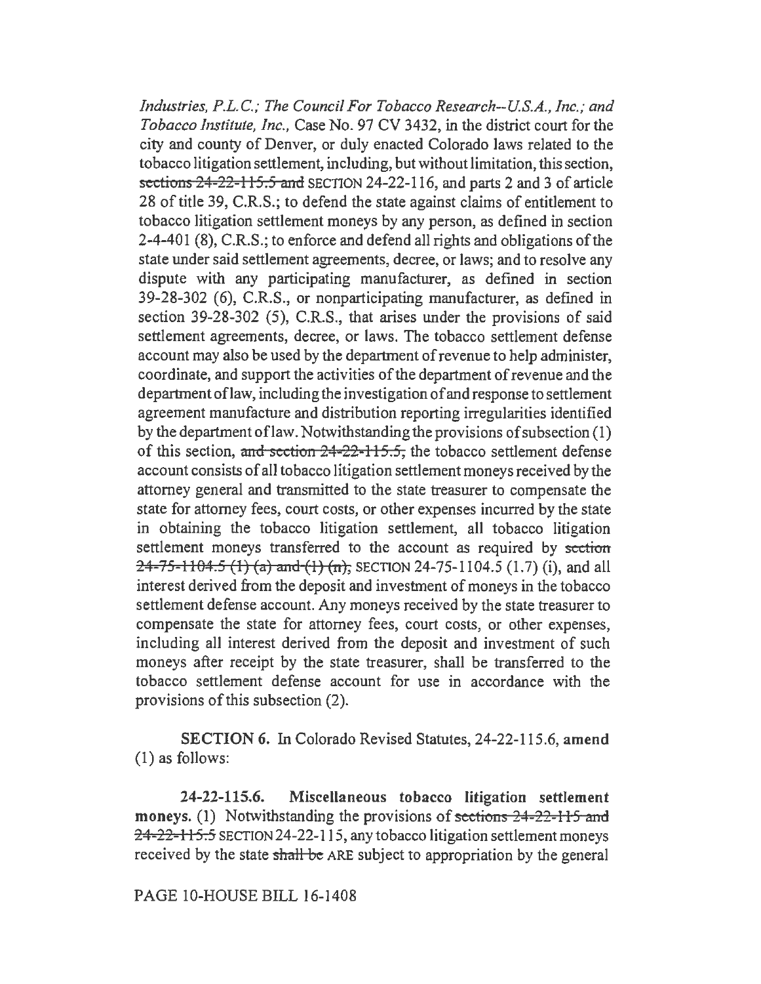*Industries, P.L.C.; The Council For Tobacco Research--US.A., Inc.; and Tobacco Institute, Inc.,* Case No. 97 CV 3432, in the district court for the city and county of Denver, or duly enacted Colorado laws related to the tobacco litigation settlement, including, but without limitation, this section, sections 24-22-115.5 and SECTION 24-22-116, and parts 2 and 3 of article 28 of title 39, C.R.S.; to defend the state against claims of entitlement to tobacco litigation settlement moneys by any person, as defined in section 2-4-401 (8), C.R.S.; to enforce and defend all rights and obligations of the state under said settlement agreements, decree, or laws; and to resolve any dispute with any participating manufacturer, as defined in section 39-28-302 (6), C.R.S., or nonparticipating manufacturer, as defined in section 39-28-302 (5), C.R.S., that arises under the provisions of said settlement agreements, decree, or laws. The tobacco settlement defense account may also be used by the department of revenue to help administer, coordinate, and support the activities of the department of revenue and the department oflaw, including the investigation of and response to settlement agreement manufacture and distribution reporting irregularities identified by the department oflaw. Notwithstanding the provisions of subsection (1) of this section, and section  $24-22-115.5$ , the tobacco settlement defense account consists of all tobacco litigation settlement moneys received by the attorney general and transmitted to the state treasurer to compensate the state for attorney fees, court costs, or other expenses incurred by the state in obtaining the tobacco litigation settlement, all tobacco litigation settlement moneys transferred to the account as required by section  $24-75-1104.5$  (1) (a) and (1) (n), SECTION 24-75-1104.5 (1.7) (i), and all interest derived from the deposit and investment of moneys in the tobacco settlement defense account. Any moneys received by the state treasurer to compensate the state for attorney fees, court costs, or other expenses, including all interest derived from the deposit and investment of such moneys after receipt by the state treasurer, shall be transferred to the tobacco settlement defense account for use in accordance with the provisions of this subsection (2).

SECTION 6. In Colorado Revised Statutes, 24-22-115.6, amend (1) as follows:

24-22-115.6. Miscellaneous tobacco litigation settlement moneys. (1) Notwithstanding the provisions of sections 24-22-115 and 24-22-115.5 SECTION 24-22-115, any tobacco litigation settlement moneys received by the state shall be ARE subject to appropriation by the general

PAGE 10-HOUSE BILL 16-1408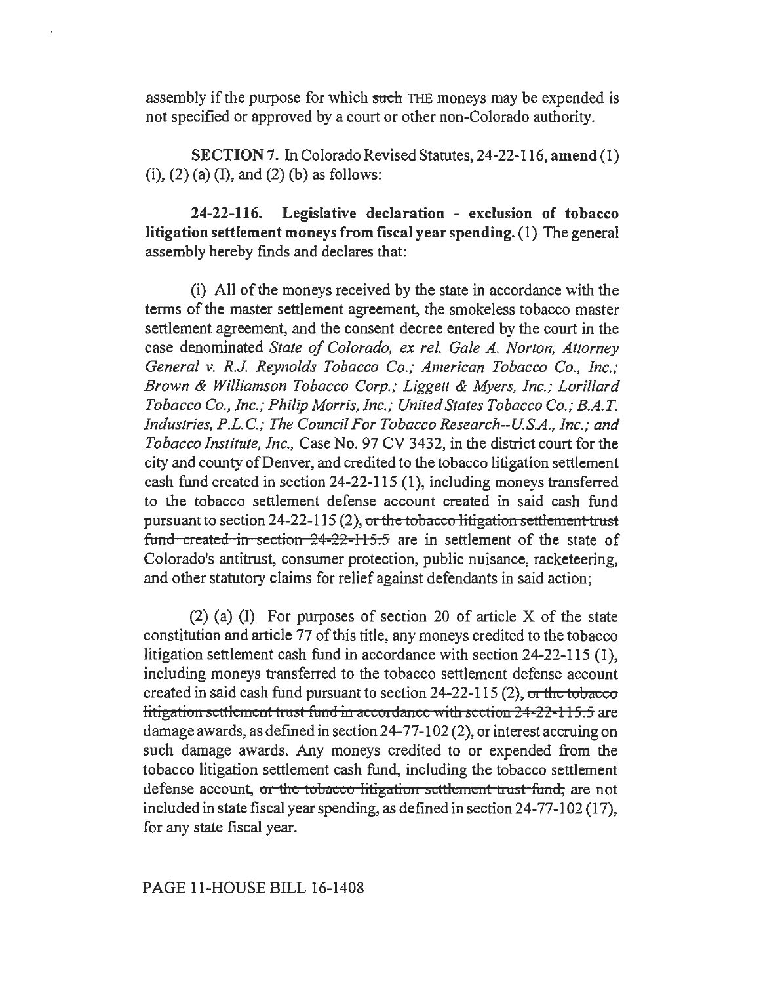assembly if the purpose for which such THE moneys may be expended is not specified or approved by a court or other non-Colorado authority.

SECTION 7. In Colorado Revised Statutes, 24-22-116, amend (1) (i),  $(2)$  (a) (I), and  $(2)$  (b) as follows:

24-22-116. Legislative declaration - exclusion of tobacco litigation settlement moneys from fiscal year spending. (1) The general assembly hereby finds and declares that:

(i) All of the moneys received by the state in accordance with the terms of the master settlement agreement, the smokeless tobacco master settlement agreement, and the consent decree entered by the court in the case denominated *State of Colorado, ex rel. Gale A. Norton, Attorney General* v. *R.J. Reynolds Tobacco Co.; American Tobacco Co., Inc.; Brown & Williamson Tobacco Corp.; Liggett & Myers, Inc.; Lorillard Tobacco Co., Inc.; Philip Morris, Inc.; United States Tobacco Co.; B.A.T. Industries, P.L.* C.; *The Council For Tobacco Research--US.A., Inc.; and Tobacco Institute, Inc.,* Case No. 97 CV 3432, in the district court for the city and county of Denver, and credited to the tobacco litigation settlement cash fund created in section 24-22-115 (1), including moneys transferred to the tobacco settlement defense account created in said cash fund pursuant to section  $24-22-115(2)$ , or the tobacco litigation settlement trust fund created in section  $24-22-115.5$  are in settlement of the state of Colorado's antitrust, consumer protection, public nuisance, racketeering, and other statutory claims for relief against defendants in said action;

(2) (a) (I) For purposes of section 20 of article X of the state constitution and article 77 of this title, any moneys credited to the tobacco litigation settlement cash fund in accordance with section 24-22-115 (1), including moneys transferred to the tobacco settlement defense account created in said cash fund pursuant to section  $24-22-115(2)$ , or the tobacco litigation settlement trust fund in accordance with section  $24-22-115.5$  are damage awards, as defined in section 24-77-102 (2), or interest accruing on such damage awards. Any moneys credited to or expended from the tobacco litigation settlement cash fund, including the tobacco settlement defense account, or the tobacco litigation settlement trust fund, are not included in state fiscal year spending, as defined in section 24-77-102 (17), for any state fiscal year.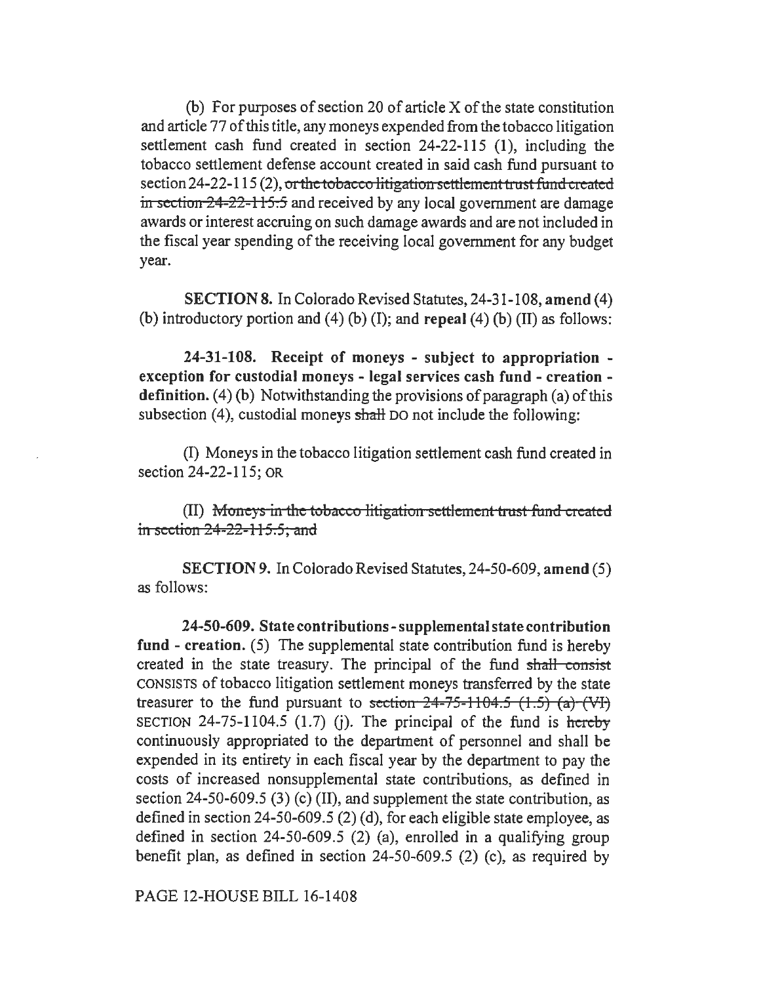(b) For purposes of section 20 of article X of the state constitution and article 77 of this title, any moneys expended from the tobacco litigation settlement cash fund created in section 24-22-115 (1), including the tobacco settlement defense account created in said cash fund pursuant to section 24-22-115 (2), or the tobacco litigation settlement trust fund created in section 24-22-115.5 and received by any local government are damage awards or interest accruing on such damage awards and are not included in the fiscal year spending of the receiving local government for any budget year.

SECTION 8. In Colorado Revised Statutes, 24-31-108, amend (4) (b) introductory portion and (4) (b) (I); and repeal (4) (b) (II) as follows:

24-31-108. Receipt of moneys - subject to appropriation exception for custodial moneys - legal services cash fund - creation definition.  $(4)$  (b) Notwithstanding the provisions of paragraph  $(a)$  of this subsection  $(4)$ , custodial moneys shall DO not include the following:

(I) Moneys in the tobacco litigation settlement cash fund created in section 24-22-115; OR

(II) Moneys in the *tobacco litigation settlement trust fund created* in section  $24-22-115.5$ ; and

SECTION 9. In Colorado Revised Statutes, 24-50-609, amend (5) as follows:

24-50-609. State contributions -supplemental state contribution fund - creation. (5) The supplemental state contribution fund is hereby created in the state treasury. The principal of the fund shall consist CONSISTS of tobacco litigation settlement moneys transferred by the state treasurer to the fund pursuant to section  $24-75-1104.5$   $(1.5)$   $(a)$   $(W)$ SECTION 24-75-1104.5 (1.7) (j). The principal of the fund is hereby continuously appropriated to the department of personnel and shall be expended in its entirety in each fiscal year by the department to pay the costs of increased nonsupplemental state contributions, as defined in section 24-50-609.5 (3) (c) (II), and supplement the state contribution, as defined in section 24-50-609.5 (2) (d), for each eligible state employee, as defined in section 24-50-609.5 (2) (a), enrolled in a qualifying group benefit plan, as defined in section 24-50-609.5 (2) (c), as required by

PAGE 12-HOUSE BILL 16-1408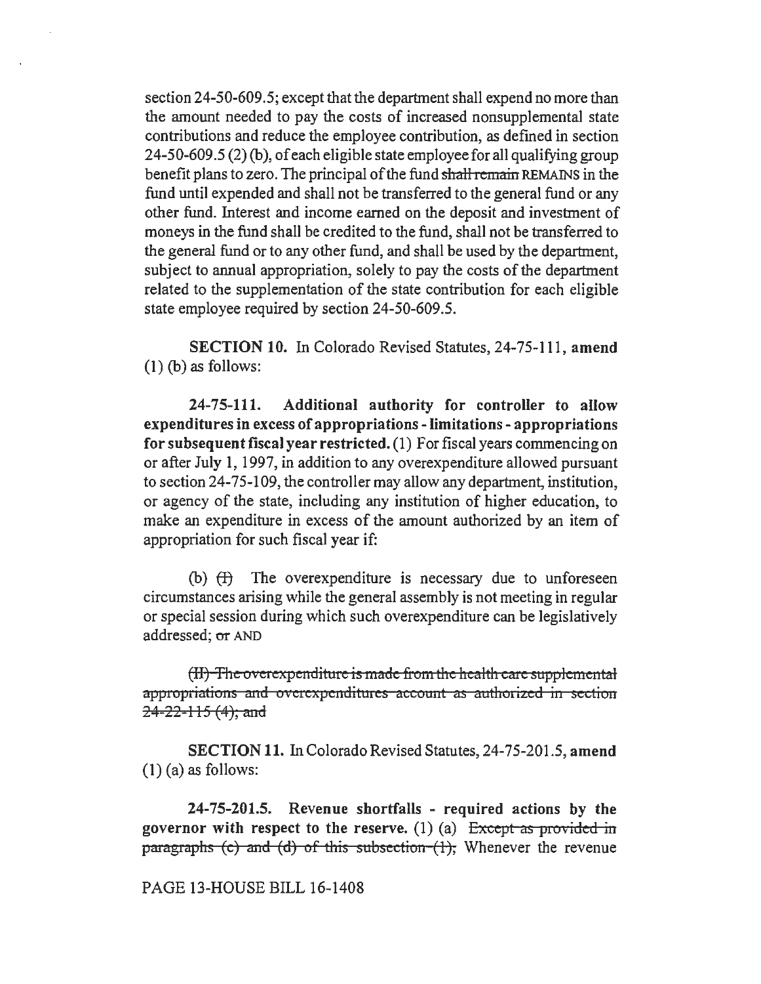section 24-50-609.5; except that the department shall expend no more than the amount needed to pay the costs of increased nonsupplemental state contributions and reduce the employee contribution, as defined in section 24-50-609 .5 (2) (b ), of each eligible state employee for all qualifying group benefit plans to zero. The principal of the fund shall remain REMAINS in the fund until expended and shall not be transferred to the general fund or any other fund. Interest and income earned on the deposit and investment of moneys in the fund shall be credited to the fund, shall not be transferred to the general fund or to any other fund, and shall be used by the department, subject to annual appropriation, solely to pay the costs of the department related to the supplementation of the state contribution for each eligible state employee required by section 24-50-609.5.

SECTION 10. In Colorado Revised Statutes, 24-75-111, amend (1) (b) as follows:

24-75-111. Additional authority for controller to allow expenditures in excess of appropriations - limitations - appropriations for subsequent fiscal year restricted. (1) For fiscal years commencing on or after July 1, 1997, in addition to any overexpenditure allowed pursuant to section 24-75-109, the controller may allow any department, institution, or agency of the state, including any institution of higher education, to make an expenditure in excess of the amount authorized by an item of appropriation for such fiscal year if:

(b)  $(H)$  The overexpenditure is necessary due to unforeseen circumstances arising while the general assembly is not meeting in regular or special session during which such overexpenditure can be legislatively addressed; or AND

(II) The overexpenditure is made from the health care supplemental appropriations and overexpenditures account as authorized in section  $24 - 22 - 115$  (4); and

SECTION 11. In Colorado Revised Statutes, 24-75-201.5, amend  $(1)$  (a) as follows:

24-75-201.5. Revenue shortfalls - required actions by the governor with respect to the reserve. (1) (a)  $\frac{1}{2}$  Except as provided in paragraphs (c) and (d) of this subsection  $(1)$ ; Whenever the revenue

PAGE 13-HOUSE BILL 16-1408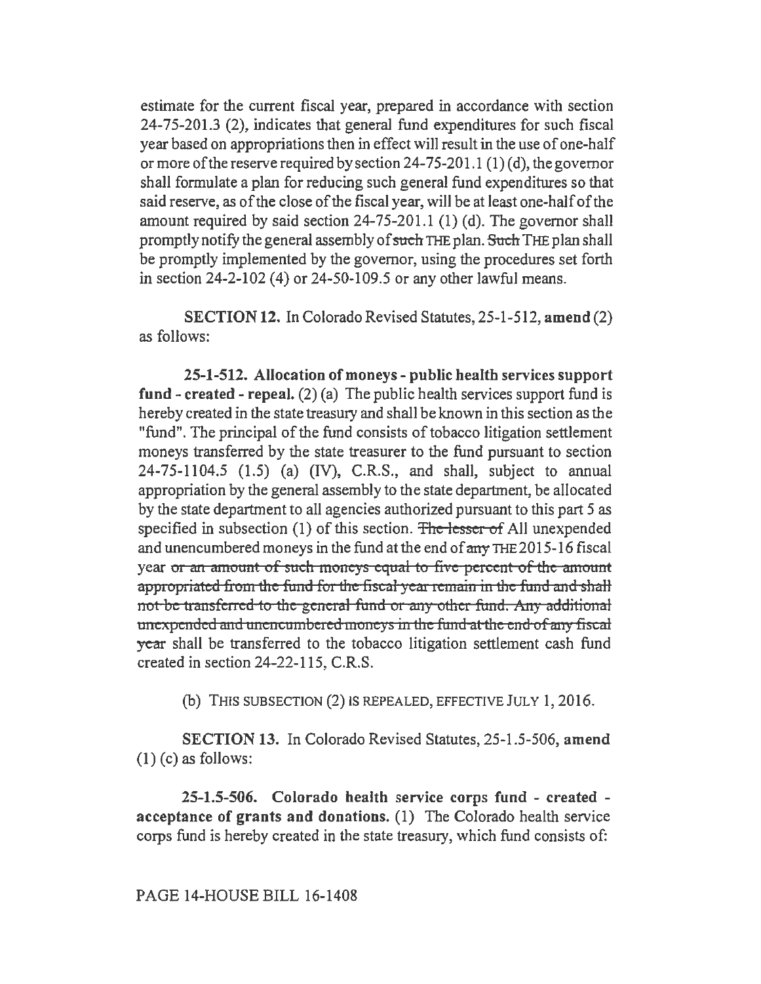estimate for the current fiscal year, prepared in accordance with section 24-75-201.3 (2), indicates that general fund expenditures for such fiscal year based on appropriations then in effect will result in the use of one-half or more of the reserve required by section 24-75-201.1 (1) (d), the governor shall formulate a plan for reducing such general fund expenditures so that said reserve, as of the close of the fiscal year, will be at least one-half of the amount required by said section 24-75-201.1 (1) (d). The governor shall promptly notify the general assembly of such THE plan. Such THE plan shall be promptly implemented by the governor, using the procedures set forth in section  $24-2-102$  (4) or  $24-50-109.5$  or any other lawful means.

SECTION 12. In Colorado Revised Statutes, 25-1-512, amend (2) as follows:

25-1-512. Allocation of moneys - public health services support fund  $\text{-} \text{created} \cdot \text{repeat}.$  (2) (a) The public health services support fund is hereby created in the state treasury and shall be known in this section as the "fund". The principal of the fund consists of tobacco litigation settlement moneys transferred by the state treasurer to the fund pursuant to section 24-75-1104.5 (1.5) (a) (IV), C.R.S., and shall, subject to annual appropriation by the general assembly to the state department, be allocated by the state department to all agencies authorized pursuant to this part *5* as specified in subsection  $(1)$  of this section. The lesser of All unexpended and unencumbered moneys in the fund at the end of any THE 2015-16 fiscal year or an amount of such moneys equal to five percent of the amount appropriated from the fund for the fiscal year remain in the fund and shall not be transferred to the general fund or any other fund. Any additional unexpended and unencumbered moneys in the fund at the end of any fiscal year shall be transferred to the tobacco litigation settlement cash fund created in section 24-22-115, C.R.S.

(b) THIS SUBSECTION (2) IS REPEALED, EFFECTIVE JULY 1, 2016.

SECTION 13. In Colorado Revised Statutes, 25-1.5-506, amend  $(1)$  (c) as follows:

25-1.5-506. Colorado health service corps fund - created acceptance of grants and donations. (1) The Colorado health service corps fund is hereby created in the state treasury, which fund consists of: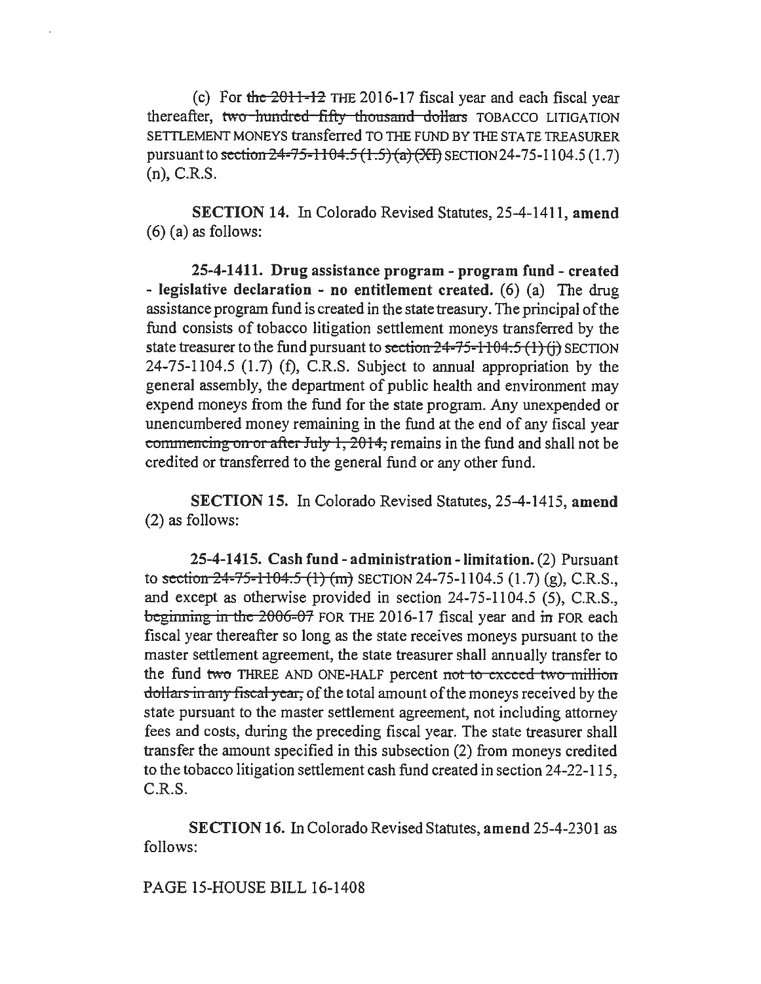(c) For the  $2011-12$  THE 2016-17 fiscal year and each fiscal year thereafter, two hundred fifty thousand dollars TOBACCO LITIGATION SETTLEMENT MONEYS transferred TO THE FUND BY THE STATE TREASURER pursuant to section  $24-75-1104.5$   $(1.5)$   $(a)$   $(X)$  SECTION 24-75-1104.5 (1.7) (n), C.R.S.

SECTION 14. In Colorado Revised Statutes, 25-4-1411, amend  $(6)$  (a) as follows:

25-4-1411. Drug assistance program - program fund - created - legislative declaration - no entitlement created.  $(6)$  (a) The drug assistance program fund is created in the state treasury. The principal of the fund consists of tobacco litigation settlement moneys transferred by the state treasurer to the fund pursuant to section  $24-75-1104.5(1)(i)$  SECTION 24-75-1104.5 (1.7) (f), C.R.S. Subject to annual appropriation by the general assembly, the department of public health and environment may expend moneys from the fund for the state program. Any unexpended or unencumbered money remaining in the fund at the end of any fiscal year commencing on or after July 1,  $2014$ , remains in the fund and shall not be credited or transferred to the general fund or any other fund.

SECTION 15. In Colorado Revised Statutes, 25-4-1415, amend (2) as follows:

25-4-1415. Cash fund- administration-limitation. (2) Pursuant to section  $24-75-1104.5$  (1) (m) SECTION 24-75-1104.5 (1.7) (g), C.R.S., and except as otherwise provided in section 24-75-1104.5 (5), C.R.S., beginning in the  $2006-07$  FOR THE 2016-17 fiscal year and in FOR each fiscal year thereafter so long as the state receives moneys pursuant to the master settlement agreement, the state treasurer shall annually transfer to the fund two THREE AND ONE-HALF percent not to exceed two million dollars in any fiscal year, of the total amount of the moneys received by the state pursuant to the master settlement agreement, not including attorney fees and costs, during the preceding fiscal year. The state treasurer shall transfer the amount specified in this subsection (2) from moneys credited to the tobacco litigation settlement cash fund created in section 24-22-115, C.R.S.

SECTION 16. In Colorado Revised Statutes, amend 25-4-2301 as follows:

PAGE 15-HOUSE BILL 16-1408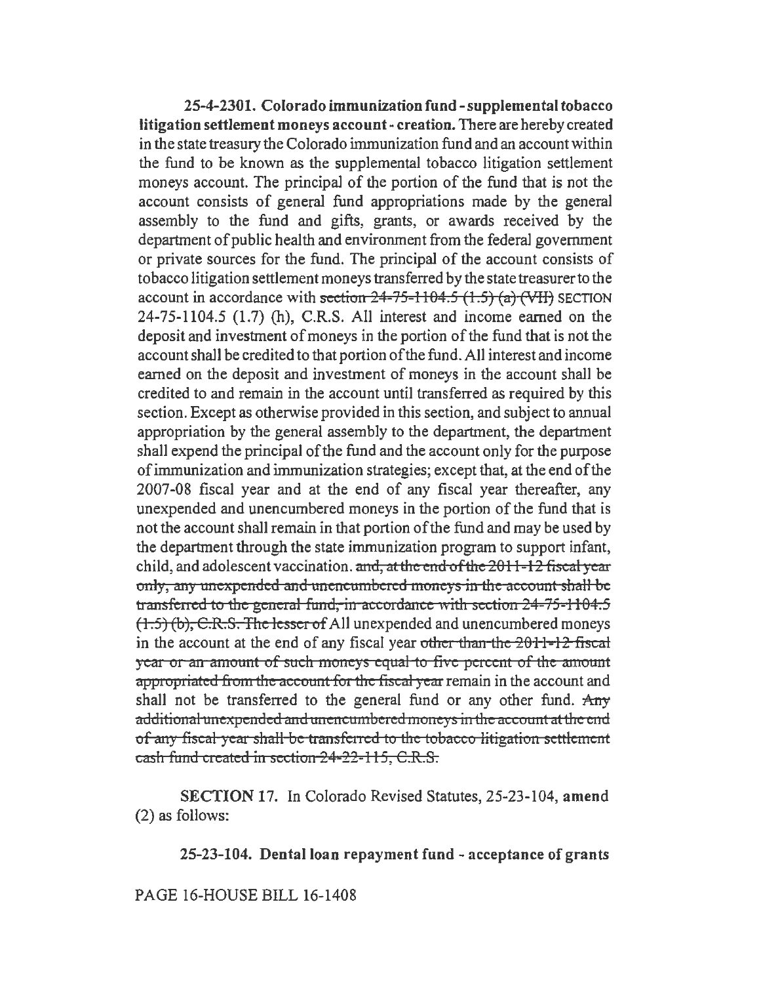25-4-2301. Colorado immunization fund-supplemental tobacco litigation settlement moneys account- creation. There are hereby created in the state treasury the Colorado immunization fund and an account within the fund to be known as the supplemental tobacco litigation settlement moneys account. The principal of the portion of the fund that is not the account consists of general fund appropriations made by the general assembly to the fund and gifts, grants, or awards received by the department of public health and environment from the federal government or private sources for the fund. The principal of the account consists of tobacco litigation settlement moneys transferred by the state treasurer to the account in accordance with section  $24-75-1104.5$   $(1.5)$   $(a)$   $(WH)$  SECTION 24-75-1104.5 (1.7) (h), C.R.S. All interest and income earned on the deposit and investment of moneys in the portion of the fund that is not the account shall be credited to that portion of the fund. All interest and income earned on the deposit and investment of moneys in the account shall be credited to and remain in the account until transferred as required by this section. Except as otherwise provided in this section, and subject to annual appropriation by the general assembly to the department, the department shall expend the principal of the fund and the account only for the purpose of immunization and immunization strategies; except that, at the end of the 2007-08 fiscal year and at the end of any fiscal year thereafter, any unexpended and unencumbered moneys in the portion of the fund that is not the account shall remain in that portion of the fund and may be used by the department through the state immunization program to support infant, child, and adolescent vaccination. and, at the end of the  $2011 - 12$  fiscal year only, any unexpended and unencumbered moneys in the account shall be transferred to the general fund, in accordance with section  $24-75-1104.5$  $(1.5)$  (b), C.R.S. The lesser of All unexpended and unencumbered moneys in the account at the end of any fiscal year other than the  $2011-12$  fiscal year or an amount of such moneys equal to five percent of the amount appropriated from the account for the fiscal year remain in the account and shall not be transferred to the general fund or any other fund.  $\text{Any}$ additional unexpended and unencumbered moneys in the account at the end of any fiscal year shall be transferred to the tobacco litigation settlement cash fund created in section 24-22-115, C.R.S.

SECTION 17. In Colorado Revised Statutes, 25-23-104, amend (2) as follows:

25-23-104. Dental loan repayment fund - acceptance of grants

PAGE 16-HOUSE BILL 16-1408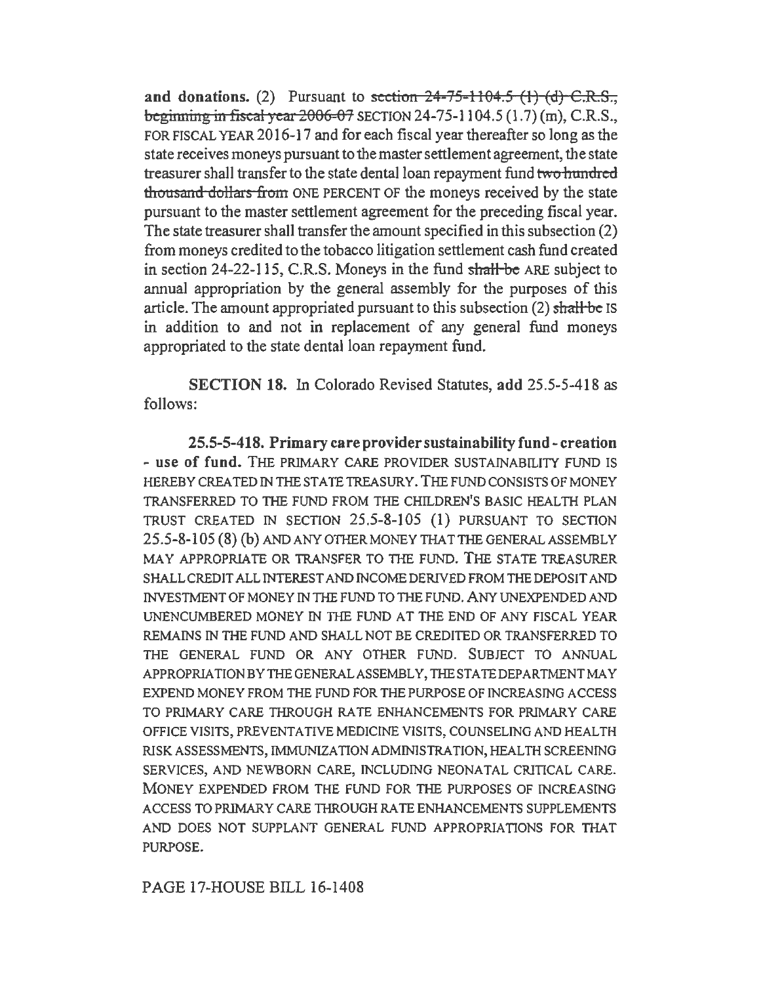and donations. (2) Pursuant to section  $24-75-1104.5$  (1) (d) C.R.S., beginning in fiscal year  $2006-07$  SECTION 24-75-1104.5 (1.7) (m), C.R.S., FOR FISCAL YEAR 2016-17 and for each fiscal year thereafter so long as the state receives moneys pursuant to the master settlement agreement, the state treasurer shall transfer to the state dental loan repayment fund two hundred thousand dollars from ONE PERCENT OF the moneys received by the state pursuant to the master settlement agreement for the preceding fiscal year. The state treasurer shall transfer the amount specified in this subsection (2) from moneys credited to the tobacco litigation settlement cash fund created in section 24-22-115, C.R.S. Moneys in the fund shall be ARE subject to annual appropriation by the general assembly for the purposes of this article. The amount appropriated pursuant to this subsection (2) shall be IS in addition to and not in replacement of any general fund moneys appropriated to the state dental loan repayment fund.

SECTION 18. In Colorado Revised Statutes, add 25.5-5-418 as follows:

25.5-5-418. Primary care provider sustainability fund- creation - use of fund. THE PRIMARY CARE PROVIDER SUSTAINABILITY FUND IS HEREBY CREATED IN THE STATE TREASURY. THE FUND CONSISTS OF MONEY TRANSFERRED TO THE FUND FROM THE CHILDREN'S BASIC HEALTH PLAN TRUST CREATED IN SECTION 25.5-8-105 (1) PURSUANT TO SECTION 25.5-8-105 (8) (b) ANDANYOTHERMONEYTHATTHEGENERALASSEMBLY MAY APPROPRIATE OR TRANSFER TO THE FUND. THE STATE TREASURER SHALL CREDIT ALL INTEREST AND INCOME DERIVED FROM THE DEPOSIT AND INVESTMENT OF MONEY IN THE FUND TO THE FUND. ANY UNEXPENDED AND UNENCUMBERED MONEY IN THE FUND AT THE END OF ANY FISCAL YEAR REMAINS IN THE FUND AND SHALL NOT BE CREDITED OR TRANSFERRED TO THE GENERAL FUND OR ANY OTHER FUND. SUBJECT TO ANNUAL APPROPRIATION BY THE GENERAL ASSEMBLY, THE STATE DEPARTMENT MAY EXPEND MONEY FROM THE FUND FOR THE PURPOSE OF INCREASING ACCESS TO PRIMARY CARE THROUGH RATE ENHANCEMENTS FOR PRIMARY CARE OFFICE VISITS, PREVENTATIVE MEDICINE VISITS, COUNSELING AND HEALTH RISK ASSESSMENTS, IMMUNIZATION ADMINISTRATION, HEALTH SCREENING SERVICES, AND NEWBORN CARE, INCLUDING NEONATAL CRITICAL CARE. MONEY EXPENDED FROM THE FUND FOR THE PURPOSES OF INCREASING ACCESS TO PRIMARY CARE THROUGH RA TE ENHANCEMENTS SUPPLEMENTS AND DOES NOT SUPPLANT GENERAL FUND APPROPRIATIONS FOR THAT PURPOSE.

PAGE 17-HOUSE BILL 16-1408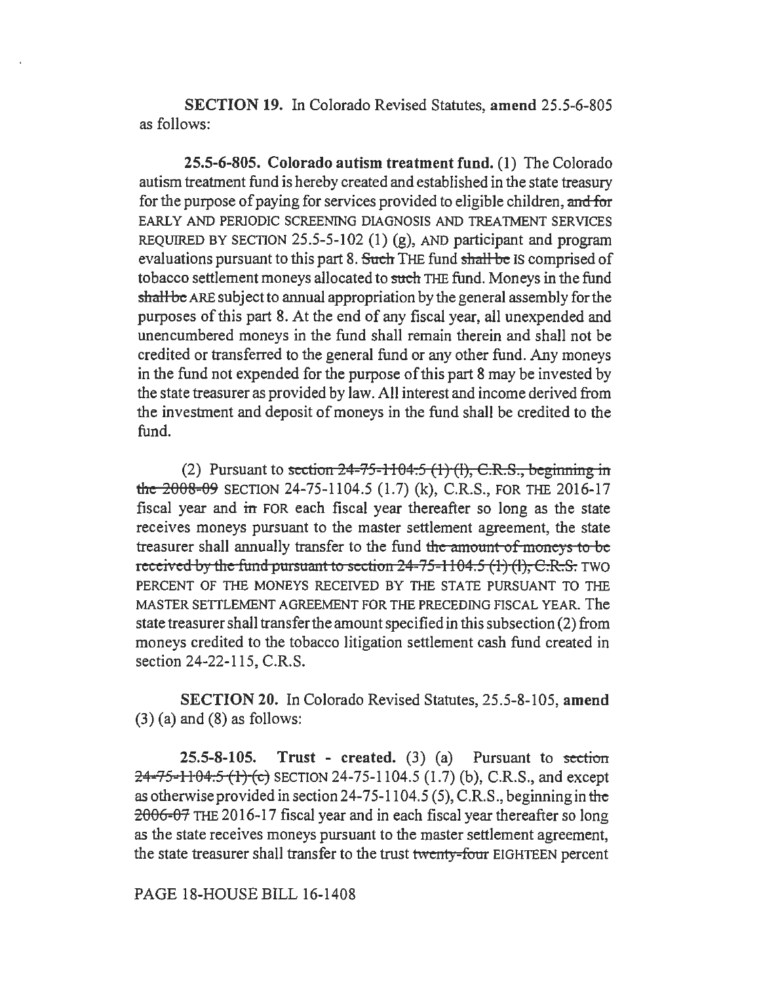SECTION 19. In Colorado Revised Statutes, amend 25.5-6-805 as follows:

25.5-6-805. Colorado autism treatment fund. (1) The Colorado autism treatment fund is hereby created and established in the state treasury for the purpose of paying for services provided to eligible children, and for EARLY AND PERIODIC SCREENING DIAGNOSIS AND TREATMENT SERVICES REQUIRED BY SECTION 25.5-5-102 (1) (g), AND participant and program evaluations pursuant to this part 8. Such THE fund shall be IS comprised of tobacco settlement moneys allocated to such THE fund. Moneys in the fund shall be ARE subject to annual appropriation by the general assembly for the purposes of this part 8. At the end of any fiscal year, all unexpended and unencumbered moneys in the fund shall remain therein and shall not be credited or transferred to the general fund or any other fund. Any moneys in the fund not expended for the purpose of this part 8 may be invested by the state treasurer as provided by law. All interest and income derived from the investment and deposit of moneys in the fund shall be credited to the fund.

(2) Pursuant to section  $24-75-1104.5$  (1) (1), C.R.S., beginning in the 2008-09 SECTION 24-75-1104.5 (1.7) (k), C.R.S., FOR THE 2016-17 fiscal year and in FOR each fiscal year thereafter so long as the state receives moneys pursuant to the master settlement agreement, the state treasurer shall annually transfer to the fund the amount of moneys to be received by the fund pursuant to section 24-75-1104.5 (1) (1), C.R.S. TWO PERCENT OF THE MONEYS RECEIVED BY THE STATE PURSUANT TO THE MASTER SETTLEMENT AGREEMENT FOR THE PRECEDING FISCAL YEAR. The state treasurer shall transfer the amount specified in this subsection (2) from moneys credited to the tobacco litigation settlement cash fund created in section 24-22-115, C.R.S.

SECTION 20. In Colorado Revised Statutes, 25.5-8-105, amend  $(3)$  (a) and  $(8)$  as follows:

25.5-8-105. Trust - created.  $(3)$   $(a)$  Pursuant to section 24-75-1104.5 (1) (c) SECTION 24-75-1104.5 (1.7) (b), C.R.S., and except as otherwise provided in section 24-75-1104.5 (5), C.R.S., beginning in the 2006-07 THE 2016-17 fiscal year and in each fiscal year thereafter so long as the state receives moneys pursuant to the master settlement agreement, the state treasurer shall transfer to the trust twenty-fom EIGHTEEN percent

PAGE 18-HOUSE BILL 16-1408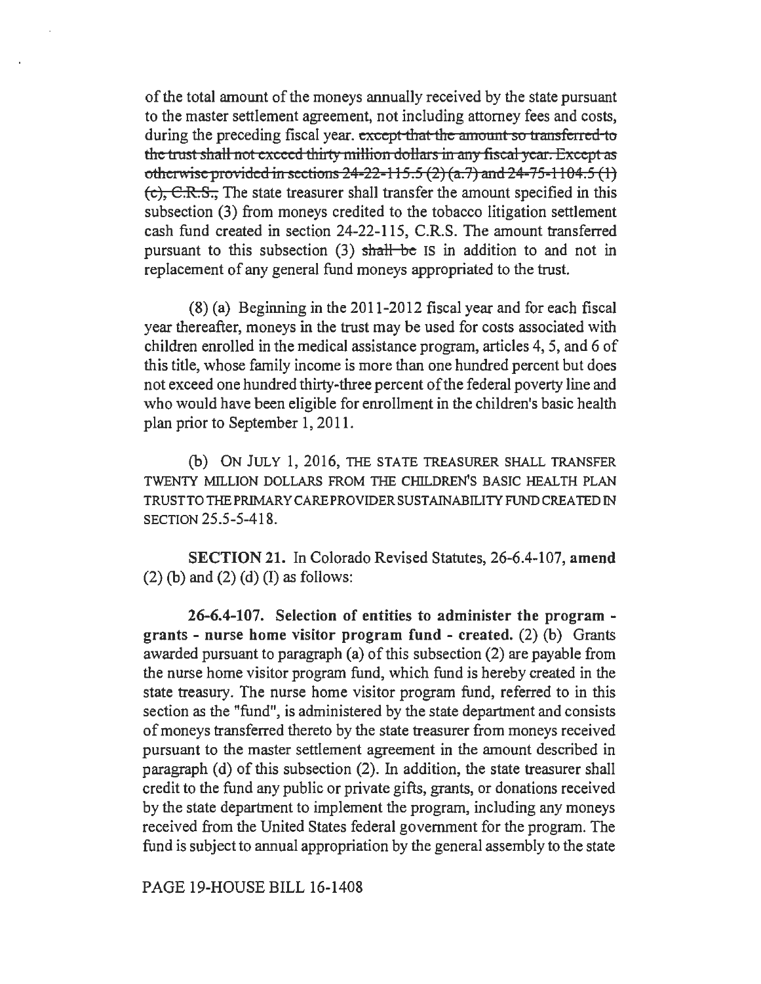of the total amount of the moneys annually received by the state pursuant to the master settlement agreement, not including attorney fees and costs, during the preceding fiscal year. except that the amount so transferred to the trust shall not exceed thirty million dollars in any fiscal year. Except as otherwise provided in sections  $24-22-115.5$  (2) (a.7) and  $24-75-1104.5$  (1) (e), C.R.S., The state treasurer shall transfer the amount specified in this subsection (3) from moneys credited to the tobacco litigation settlement cash fund created in section 24-22-115, C.R.S. The amount transferred pursuant to this subsection  $(3)$  shall be IS in addition to and not in replacement of any general fund moneys appropriated to the trust.

(8) (a) Beginning in the 2011-2012 fiscal year and for each fiscal year thereafter, moneys in the trust may be used for costs associated with children enrolled in the medical assistance program, articles 4, 5, and 6 of this title, whose family income is more than one hundred percent but does not exceed one hundred thirty-three percent of the federal poverty line and who would have been eligible for enrollment in the children's basic health plan prior to September 1, 2011.

(b) ON JULY 1, 2016, THE STATE TREASURER SHALL TRANSFER TWENTY MILLION DOLLARS FROM THE CHILDREN'S BASIC HEALTH PLAN TRUST TO THE PRIMARY CARE PROVIDER SUSTAINABILITY FUND CREA TED IN SECTION 25.5-5-418.

SECTION 21. In Colorado Revised Statutes, 26-6.4-107, amend  $(2)$  (b) and  $(2)$  (d) (I) as follows:

26-6.4-107. Selection of entities to administer the program grants - nurse home visitor program fund - created. (2) (b) Grants awarded pursuant to paragraph (a) of this subsection (2) are payable from the nurse home visitor program fund, which fund is hereby created in the state treasury. The nurse home visitor program fund, referred to in this section as the "fund", is administered by the state department and consists of moneys transferred thereto by the state treasurer from moneys received pursuant to the master settlement agreement in the amount described in paragraph (d) of this subsection (2). In addition, the state treasurer shall credit to the fund any public or private gifts, grants, or donations received by the state department to implement the program, including any moneys received from the United States federal government for the program. The fund is subject to annual appropriation by the general assembly to the state

PAGE 19-HOUSE BILL 16-1408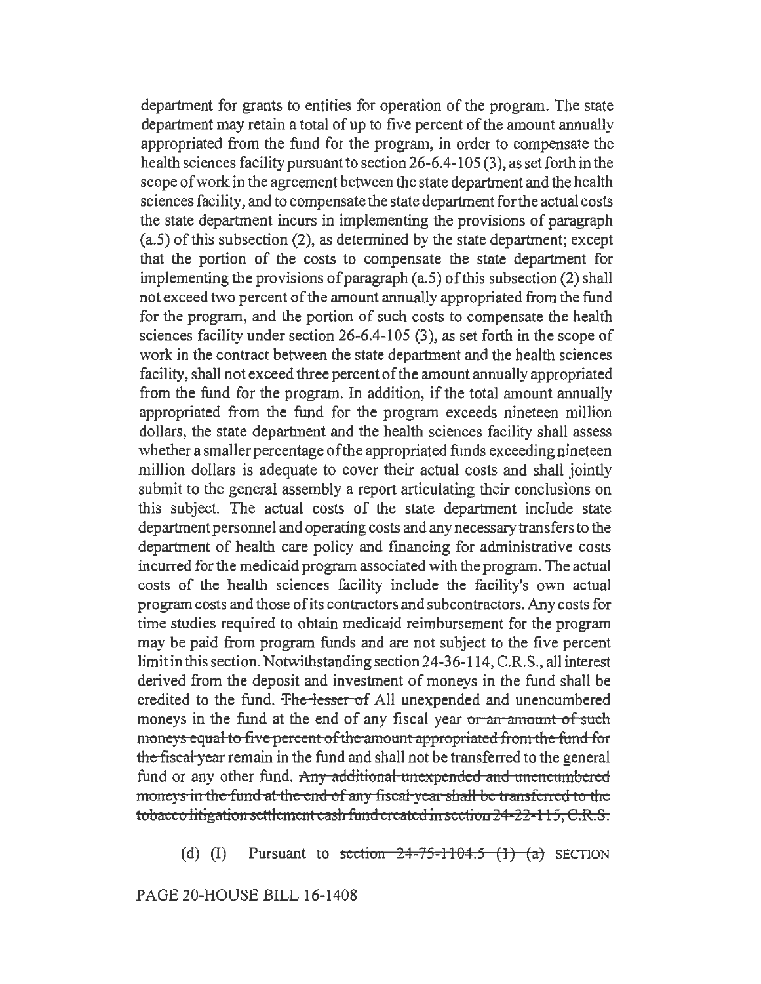department for grants to entities for operation of the program. The state department may retain a total of up to five percent of the amount annually appropriated from the fund for the program, in order to compensate the health sciences facility pursuant to section 26-6.4-105 (3), as set forth in the scope of work in the agreement between the state department and the health sciences facility, and to compensate the state department for the actual costs the state department incurs in implementing the provisions of paragraph (a.5) of this subsection (2), as determined by the state department; except that the portion of the costs to compensate the state department for implementing the provisions of paragraph (a.5) of this subsection (2) shall not exceed two percent of the amount annually appropriated from the fund for the program, and the portion of such costs to compensate the health sciences facility under section 26-6.4-105 (3), as set forth in the scope of work in the contract between the state department and the health sciences facility, shall not exceed three percent of the amount annually appropriated from the fund for the program. In addition, if the total amount annually appropriated from the fund for the program exceeds nineteen million dollars, the state department and the health sciences facility shall assess whether a smaller percentage of the appropriated funds exceeding nineteen million dollars is adequate to cover their actual costs and shall jointly submit to the general assembly a report articulating their conclusions on this subject. The actual costs of the state department include state department personnel and operating costs and any necessary transfers to the department of health care policy and financing for administrative costs incurred for the medicaid program associated with the program. The actual costs of the health sciences facility include the facility's own actual program costs and those of its contractors and subcontractors. Any costs for time studies required to obtain medicaid reimbursement for the program may be paid from program funds and are not subject to the five percent limit in this section. Notwithstanding section 24-36-114, C.R.S., all interest derived from the deposit and investment of moneys in the fund shall be credited to the fund. The lesser of All unexpended and unencumbered moneys in the fund at the end of any fiscal year or an amount of such moneys equal to five percent of the amount appropriated from the fund for the fiscal year remain in the fund and shall not be transferred to the general fund or any other fund. Any additional unexpended and unencumbered moneys in the fund at the end of any fiscal year shall be transferred to the tobacco litigation settlement cash fund created in section 24-22-115, C.R.S.

(d) (I) Pursuant to section  $24-75-1104.5$  (1) (a) SECTION

PAGE 20-HOUSE BILL 16-1408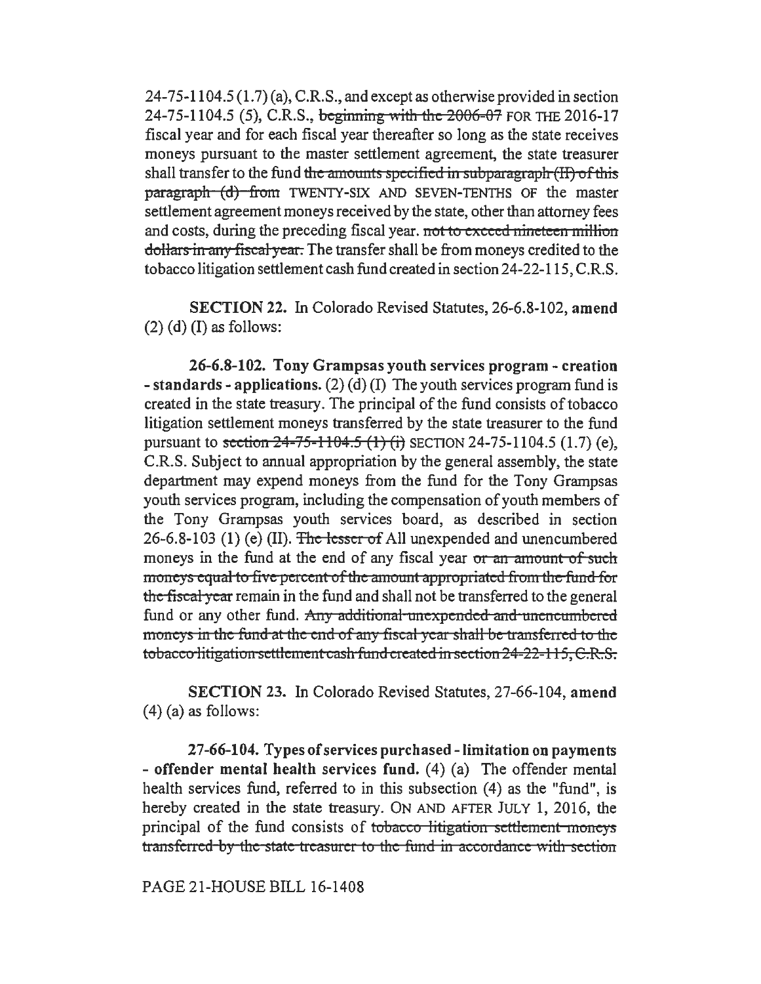24-75-1104.5 (1.7) (a), C.R.S., and except as otherwise provided in section 24-75-1104.5 (5), C.R.S., beginning with the 2006-07 FOR THE 2016-17 fiscal year and for each fiscal year thereafter so long as the state receives moneys pursuant to the master settlement agreement, the state treasurer shall transfer to the fund the amounts specified in subparagraph (II) of this paragraph (d) from TWENTY-SIX AND SEVEN-TENTHS OF the master settlement agreement moneys received by the state, other than attorney fees and costs, during the preceding fiscal year. not to exceed nineteen million dollars in any fiscal *y* eat. The transfer shall be from moneys credited to the tobacco litigation settlement cash fund created in section 24-22-115, C.R.S.

SECTION 22. In Colorado Revised Statutes, 26-6.8-102, amend  $(2)$  (d) (I) as follows:

26-6.8-102. Tony Grampsas youth services program - creation - standards - applications. (2) (d) (I) The youth services program fund is created in the state treasury. The principal of the fund consists of tobacco litigation settlement moneys transferred by the state treasurer to the fund pursuant to section  $24-75-1104.5$  (1) (i) SECTION 24-75-1104.5 (1.7) (e), C.R.S. Subject to annual appropriation by the general assembly, the state department may expend moneys from the fund for the Tony Grampsas youth services program, including the compensation of youth members of the Tony Grampsas youth services board, as described in section 26-6.8-103 (1) (e) (II). The lesser of All unexpended and unencumbered moneys in the fund at the end of any fiscal year or an amount of such moneys equal to five percent of the amount appropriated from the fund for the fiscal year remain in the fund and shall not be transferred to the general fund or any other fund. Any additional unexpended and unencumbered moneys in the fund at the end of any fiscal year shall be transferred to the tobacco litigation settlement cash fund created in section 24-22-115, C.R.S.

SECTION 23. In Colorado Revised Statutes, 27-66-104, amend  $(4)$  (a) as follows:

27-66-104. Types of services purchased-limitation on payments - offender mental health services fund. (4) (a) The offender mental health services fund, referred to in this subsection (4) as the "fund", is hereby created in the state treasury. ON AND AFTER JULY 1, 2016, the principal of the fund consists of tobacco litigation settlement moneys transferred by the state treasurer to the fund in accordance with section

PAGE 21-HOUSE BILL 16-1408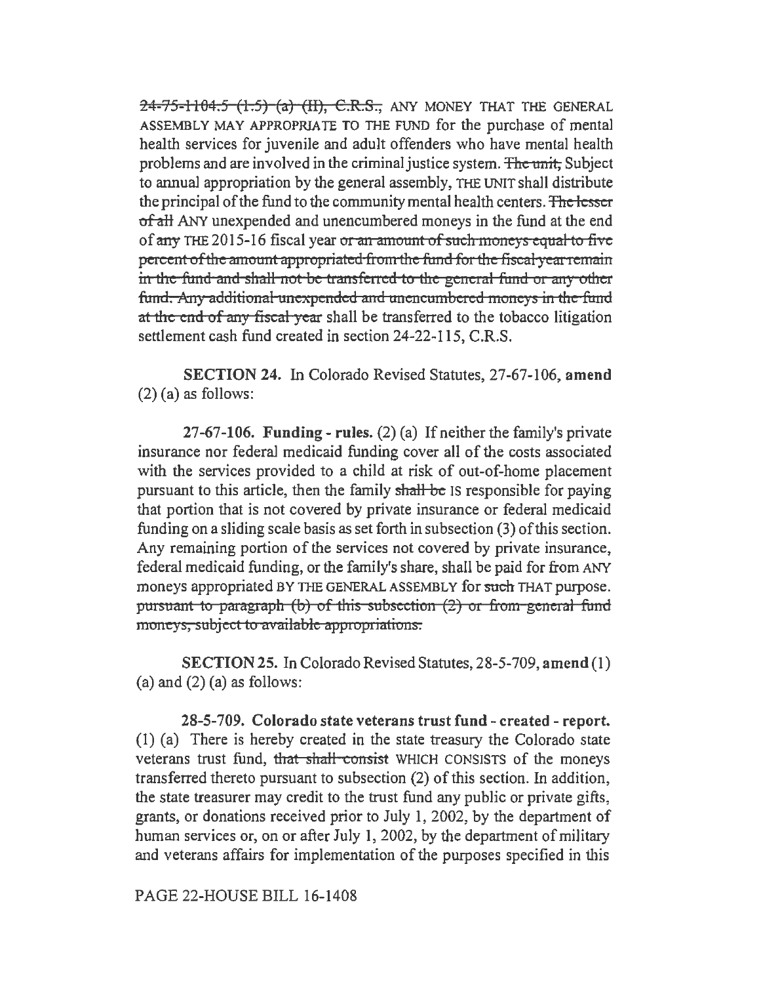24-75-1104.5 (1.5) (a) (II), C.R.S., ANY MONEY THAT THE GENERAL ASSEMBLY MAY APPROPRIATE TO THE FUND for the purchase of mental health services for juvenile and adult offenders who have mental health problems and are involved in the criminal justice system. The unit, Subject to annual appropriation by the general assembly, THE UNIT shall distribute the principal of the fund to the community mental health centers. The lesser of all ANY unexpended and unencumbered moneys in the fund at the end of any THE 2015-16 fiscal year or an amount of such moneys equal to five percent of the amount appropriated from the fund for the fiscal year remain in the fund and shall not be transferred to the general fund or any other fund. Any additional unexpended and unencumbered moneys in the fund at the end of any fiscal year shall be transferred to the tobacco litigation settlement cash fund created in section 24-22-115, C.R.S.

SECTION 24. In Colorado Revised Statutes, 27-67-106, amend (2) (a) as follows:

27-67-106. Funding - rules. (2) (a) If neither the family's private insurance nor federal medicaid funding cover all of the costs associated with the services provided to a child at risk of out-of-home placement pursuant to this article, then the family shall be IS responsible for paying that portion that is not covered by private insurance or federal medicaid funding on a sliding scale basis as set forth in subsection (3) of this section. Any remaining portion of the services not covered by private insurance, federal medicaid funding, or the family's share, shall be paid for from ANY moneys appropriated BY THE GENERAL ASSEMBLY for such THAT purpose. pursuant to paragraph (b) of this subsection  $(2)$  or from general fund moneys, subject to available appropriations.

SECTION 25. In Colorado Revised Statutes, 28-5-709, amend (1) (a) and  $(2)$  (a) as follows:

28-5-709. Colorado state veterans trust fund - created - report. (1) (a) There is hereby created in the state treasury the Colorado state veterans trust fund, that shall consist WHICH CONSISTS of the moneys transferred thereto pursuant to subsection (2) of this section. In addition, the state treasurer may credit to the trust fund any public or private gifts, grants, or donations received prior to July l, 2002, by the department of human services or, on or after July 1, 2002, by the department of military and veterans affairs for implementation of the purposes specified in this

PAGE 22-HOUSE BILL 16-1408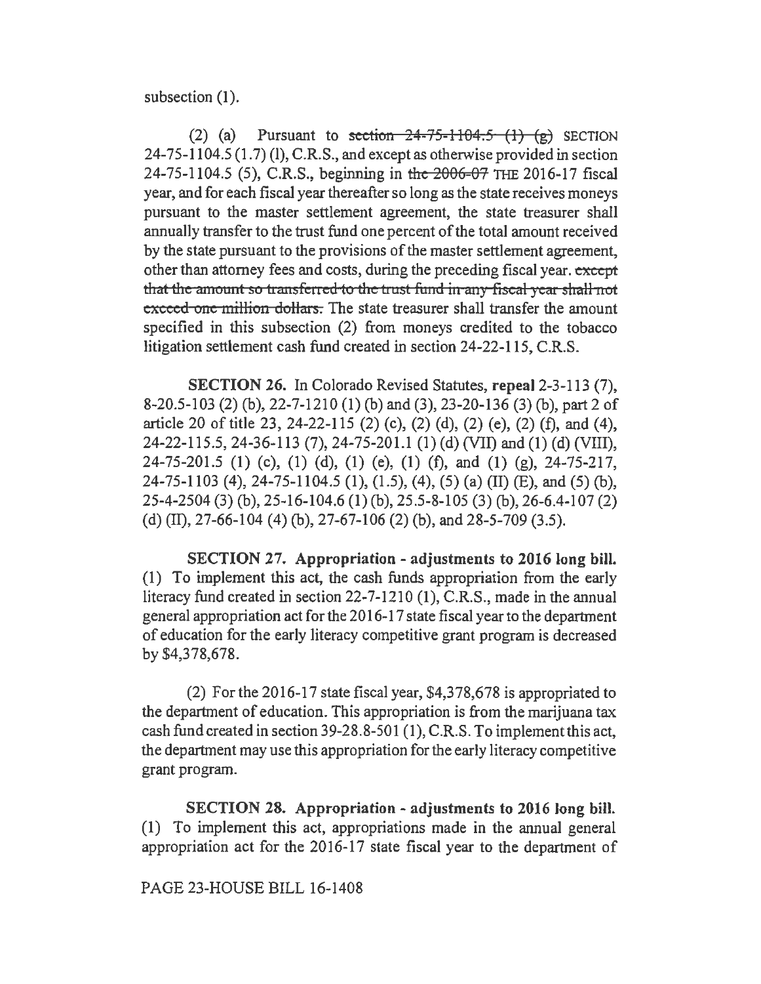subsection (1).

(2) (a) Pursuant to section  $24-75-1104.5$  (1) (g) SECTION  $24-75-1104.5(1.7)$  (1), C.R.S., and except as otherwise provided in section 24-75-1104.5 (5), C.R.S., beginning in the 2006-07 THE 2016-17 fiscal year, and for each fiscal year thereafter so long as the state receives moneys pursuant to the master settlement agreement, the state treasurer shall annually transfer to the trust fund one percent of the total amount received by the state pursuant to the provisions of the master settlement agreement, other than attorney fees and costs, during the preceding fiscal year. except that the amount so transferred to the trust fund in any fiscal year shall not exceed one million dollars. The state treasurer shall transfer the amount specified in this subsection (2) from moneys credited to the tobacco litigation settlement cash fund created in section 24-22-115, C.R.S.

SECTION 26. In Colorado Revised Statutes, repeal 2-3-113 (7), 8-20.5-103 (2) (b), 22-7-1210 (1) (b) and (3), 23-20-136 (3) (b), part 2 of article 20 of title 23, 24-22-115 (2) (c), (2) (d), (2) (e), (2) (f), and (4), 24-22-115.5, 24-36-113 (7), 24-75-201.l (1) (d) (VII) and (1) (d) (VIII), 24-75-201.5 (1) (c), (1) (d), (1) (e), (1) (f), and (1) (g), 24-75-217, 24-75-1103 (4), 24-75-1104.5 (1), (1.5), (4), (5) (a) (II) (E), and (5) (b), 25-4-2504 (3) (b), 25-16-104.6 (1) (b), 25.5-8-105 (3) (b), 26-6.4-107 (2) (d) (II), 27-66-104 (4) (b), 27-67-106 (2) (b), and 28-5-709 (3.5).

SECTION 27. Appropriation - adjustments to 2016 long bill. (1) To implement this act, the cash funds appropriation from the early literacy fund created in section 22-7-1210 (1), C.R.S., made in the annual general appropriation act for the 2016-17 state fiscal year to the department of education for the early literacy competitive grant program is decreased by \$4,378,678.

(2) For the 2016-17 state fiscal year, \$4,378,678 is appropriated to the department of education. This appropriation is from the marijuana tax cash fund created in section 39-28.8-501 (1), C.R.S. To implement this act, the department may use this appropriation for the early literacy competitive grant program.

SECTION 28. Appropriation - adjustments to 2016 long bill. (1) To implement this act, appropriations made in the annual general appropriation act for the 2016-17 state fiscal year to the department of

## PAGE 23-HOUSE BILL 16-1408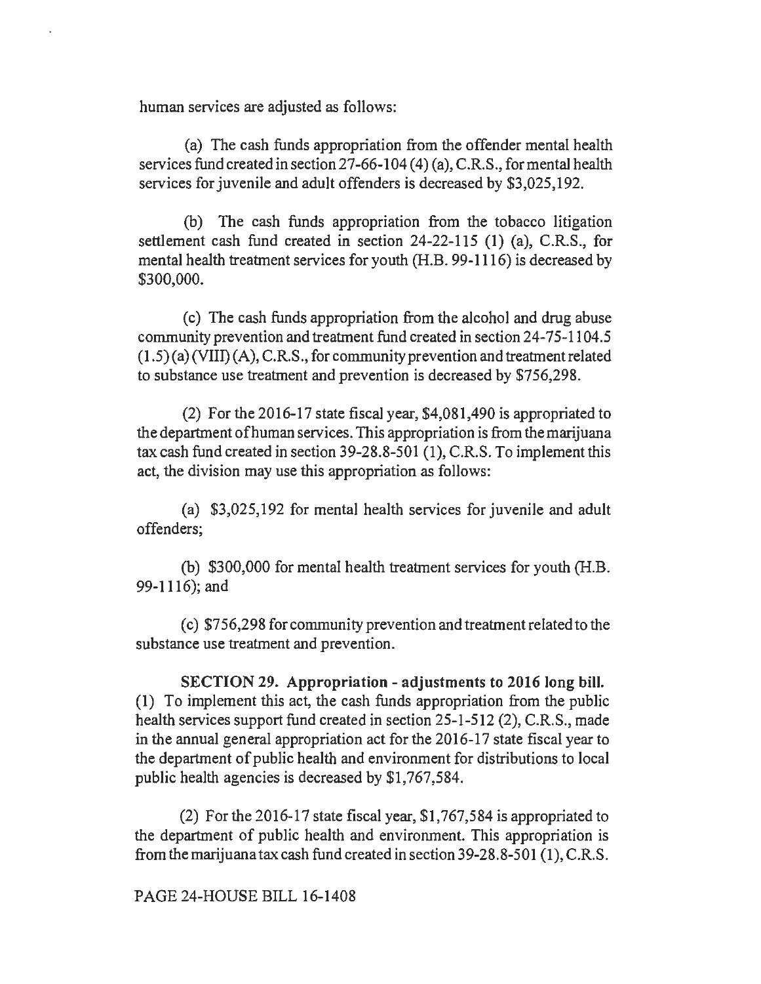human services are adjusted as follows:

(a) The cash funds appropriation from the offender mental health services fund created in section 27-66-104 (4) (a), C.R.S., for mental health services for juvenile and adult offenders is decreased by \$3,025,192.

(b) The cash funds appropriation from the tobacco litigation settlement cash fund created in section 24-22-115 (1) (a), C.R.S., for mental health treatment services for youth (H.B. 99-1116) is decreased by \$300,000.

( c) The cash funds appropriation from the alcohol and drug abuse community prevention and treatment fund created in section 24-75-1104.5  $(1.5)$  (a) (VIII) (A), C.R.S., for community prevention and treatment related to substance use treatment and prevention is decreased by \$756,298.

(2) For the 2016-17 state fiscal year, \$4,081,490 is appropriated to the department ofhuman services. This appropriation is from the marijuana tax cash fund created in section 39-28.8-501 (I), C.R.S. To implement this act, the division may use this appropriation as follows:

(a) \$3,025,192 for mental health services for juvenile and adult offenders;

(b) \$300,000 for mental health treatment services for youth (H.B. 99-1116); and

(c) \$756,298 for community prevention and treatment related to the substance use treatment and prevention.

SECTION 29. Appropriation - adjustments to 2016 long bill. (1) To implement this act, the cash funds appropriation from the public health services support fund created in section 25-1-512 (2), C.R.S., made in the annual general appropriation act for the 2016-17 state fiscal year to the department of public health and environment for distributions to local public health agencies is decreased by \$1,767,584.

(2) For the 2016-17 state fiscal year, \$1,767,584 is appropriated to the department of public health and environment. This appropriation is from the marijuana tax cash fund created in section 39-28.8-501 (1 ), C.R.S.

PAGE 24-HOUSE BILL 16-1408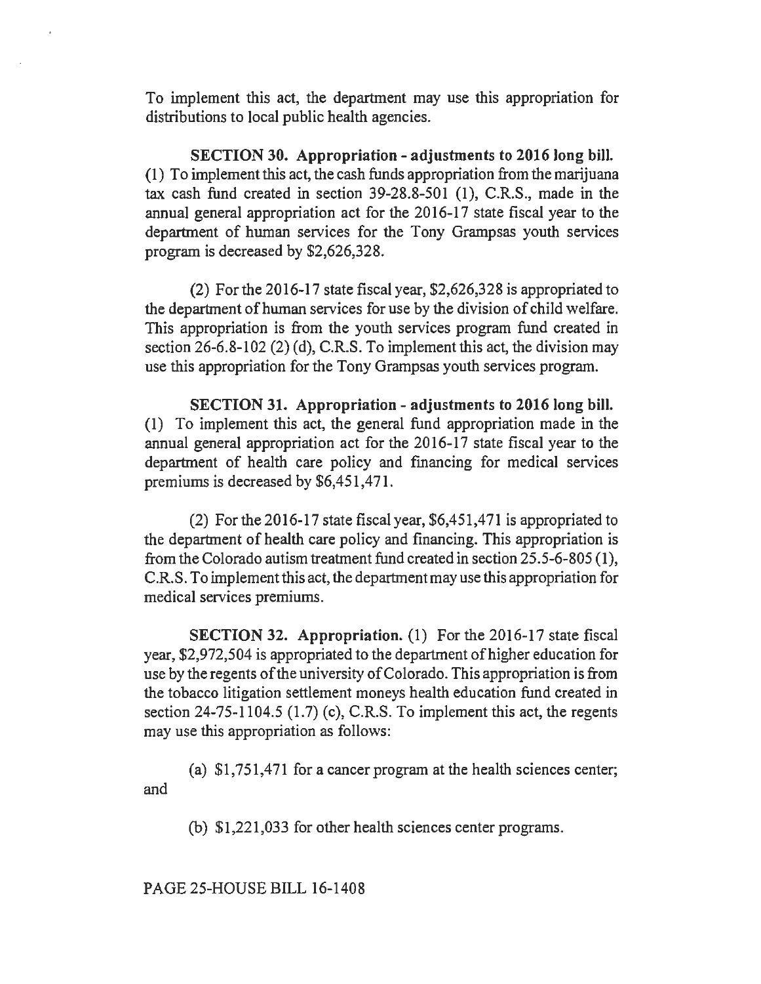To implement this act, the department may use this appropriation for distributions to local public health agencies.

SECTION 30. Appropriation - adjustments to 2016 long bill. (1) To implement this act, the cash funds appropriation from the marijuana tax cash fund created in section  $39-28.8-501$  (1), C.R.S., made in the annual general appropriation act for the 2016-17 state fiscal year to the department of human services for the Tony Grampsas youth services program is decreased by \$2,626,328.

(2) For the 2016-17 state fiscal year, \$2,626,328 is appropriated to the department of human services for use by the division of child welfare. This appropriation is from the youth services program fund created in section 26-6.8-102 (2) (d), C.R.S. To implement this act, the division may use this appropriation for the Tony Grampsas youth services program.

SECTION 31. Appropriation - adjustments to 2016 long bill. (1) To implement this act, the general fund appropriation made in the annual general appropriation act for the 2016-17 state fiscal year to the department of health care policy and financing for medical services premiums is decreased by \$6,451,471.

(2) For the 2016-17 state fiscal year,  $$6,451,471$  is appropriated to the department of health care policy and financing. This appropriation is from the Colorado autism treatment fund created in section 25.5-6-805 (1), C.R.S. To implement this act, the department may use this appropriation for medical services premiums.

SECTION 32. Appropriation. (1) For the 2016-17 state fiscal year, \$2,972,504 is appropriated to the department of higher education for use by the regents of the university of Colorado. This appropriation is from the tobacco litigation settlement moneys health education fund created in section  $24-75-1104.5$  (1.7) (c), C.R.S. To implement this act, the regents may use this appropriation as follows:

(a) \$1,751,471 for a cancer program at the health sciences center; and

(b) \$1,221,033 for other health sciences center programs.

PAGE 25-HOUSE BILL 16-1408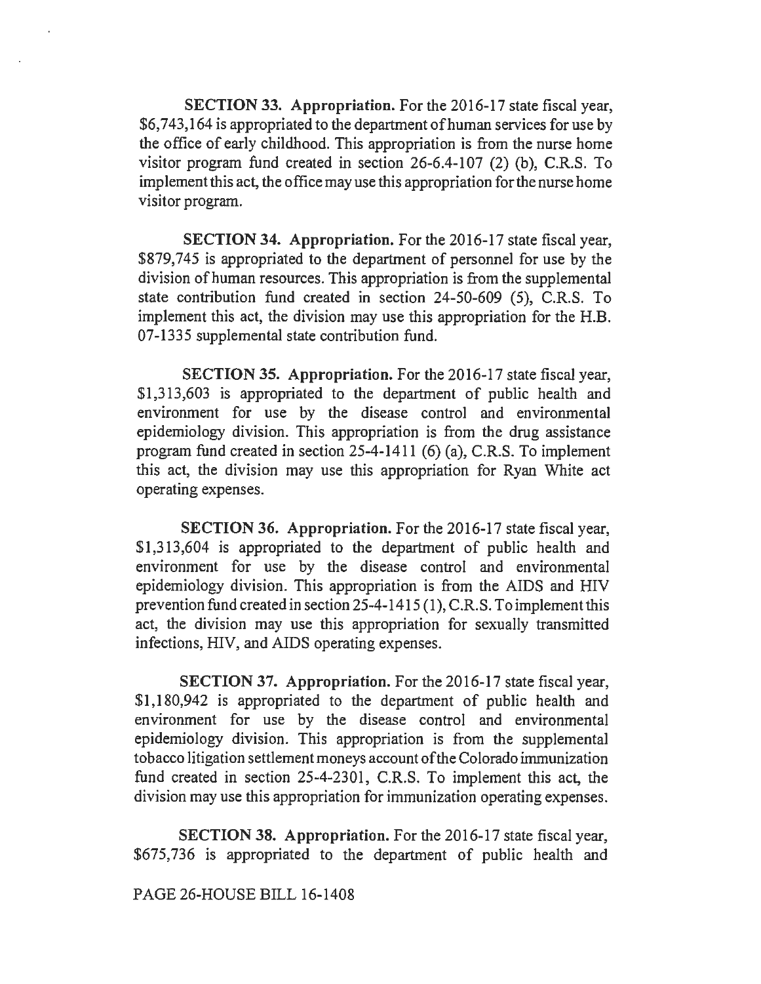SECTION 33. Appropriation. For the 2016-17 state fiscal year, \$6,743,164 is appropriated to the department of human services for use by the office of early childhood. This appropriation is from the nurse home visitor program fund created in section 26-6.4-107 (2) (b), C.R.S. To implement this act, the office may use this appropriation for the nurse home visitor program.

SECTION 34. Appropriation. For the 2016-17 state fiscal year, \$879,745 is appropriated to the department of personnel for use by the division of human resources. This appropriation is from the supplemental state contribution fund created in section 24-50-609 (5), C.R.S. To implement this act, the division may use this appropriation for the H.B. 07-1335 supplemental state contribution fund.

SECTION 35. Appropriation. For the 2016-17 state fiscal year, \$1,313,603 is appropriated to the department of public health and environment for use by the disease control and environmental epidemiology division. This appropriation is from the drug assistance program fund created in section 25-4-1411 (6) (a), C.R.S. To implement this act, the division may use this appropriation for Ryan White act operating expenses.

SECTION 36. Appropriation. For the 2016-17 state fiscal year, \$1,313,604 is appropriated to the department of public health and environment for use by the disease control and environmental epidemiology division. This appropriation is from the AIDS and HIV prevention fund created in section 25-4-1415 (1), C.R.S. To implement this act, the division may use this appropriation for sexually transmitted infections, HIV, and AIDS operating expenses.

SECTION 37. Appropriation. For the 2016-17 state fiscal year, \$1,180,942 is appropriated to the department of public health and environment for use by the disease control and environmental epidemiology division. This appropriation is from the supplemental tobacco litigation settlement moneys account of the Colorado immunization fund created in section 25-4-2301, C.R.S. To implement this act, the division may use this appropriation for immunization operating expenses.

SECTION 38. Appropriation. For the 2016-17 state fiscal year, \$675,736 is appropriated to the department of public health and

PAGE 26-HOUSE BILL 16-1408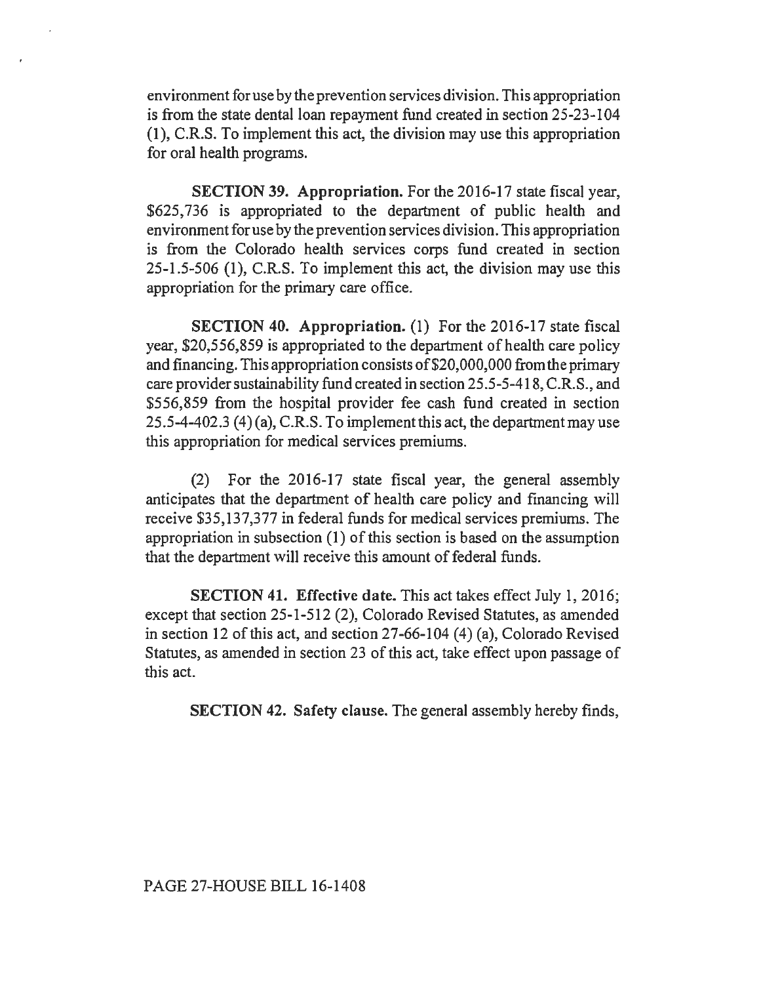environment for use by the prevention services division. This appropriation is from the state dental loan repayment fund created in section 25-23-104 (1), C.R.S. To implement this act, the division may use this appropriation for oral health programs.

SECTION 39. Appropriation. For the 2016-17 state fiscal year, \$625, 736 is appropriated to the department of public health and environment for use by the prevention services division. This appropriation is from the Colorado health services corps fund created in section 25-1.5-506 (1 ), C.R.S. To implement this act, the division may use this appropriation for the primary care office.

SECTION 40. Appropriation. (1) For the 2016-17 state fiscal year, \$20,556,859 is appropriated to the department of health care policy and financing. This appropriation consists of\$20,000,000 from the primary care provider sustainability fund created in section 25.5-5-418, C.R.S., and \$556,859 from the hospital provider fee cash fund created in section 25.5-4-402.3 (4) (a), C.R.S. To implement this act, the department may use this appropriation for medical services premiums.

(2) For the 2016-17 state fiscal year, the general assembly anticipates that the department of health care policy and financing will receive \$35,137,377 in federal funds for medical services premiums. The appropriation in subsection (1) of this section is based on the assumption that the department will receive this amount of federal funds.

SECTION 41. Effective date. This act takes effect July 1, 2016; except that section 25-1-512 (2), Colorado Revised Statutes, as amended in section 12 of this act, and section 27-66-104 (4) (a), Colorado Revised Statutes, as amended in section 23 of this act, take effect upon passage of this act.

SECTION 42. Safety clause. The general assembly hereby finds,